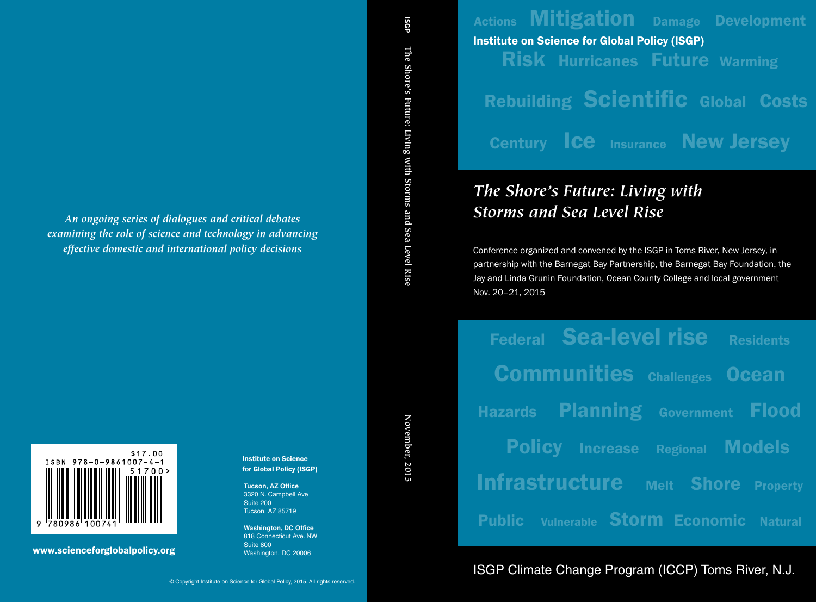Actions **Mitigation** Damage Development Risk Hurricanes Future Warming **Rebuilding Scientific Global Costs** Century **Ice** Insurance **New Jersey** Institute on Science for Global Policy (ISGP)

# *The Shore's Future: Living with Storms and Sea Level Rise*

Conference organized and convened by the ISGP in Toms River, New Jersey, in partnership with the Barnegat Bay Partnership, the Barnegat Bay Foundation, the Jay and Linda Grunin Foundation, Ocean County College and local government Nov. 20–21, 2015

Federal Sea-level rise Residents Communities Challenges Ocean Hazards Planning Government Flood **Policy Increase Regional Models** Infrastructure Melt Shore Property Public Vulnerable Storm Economic Natural

ISGP Climate Change Program (ICCP) Toms River, N.J.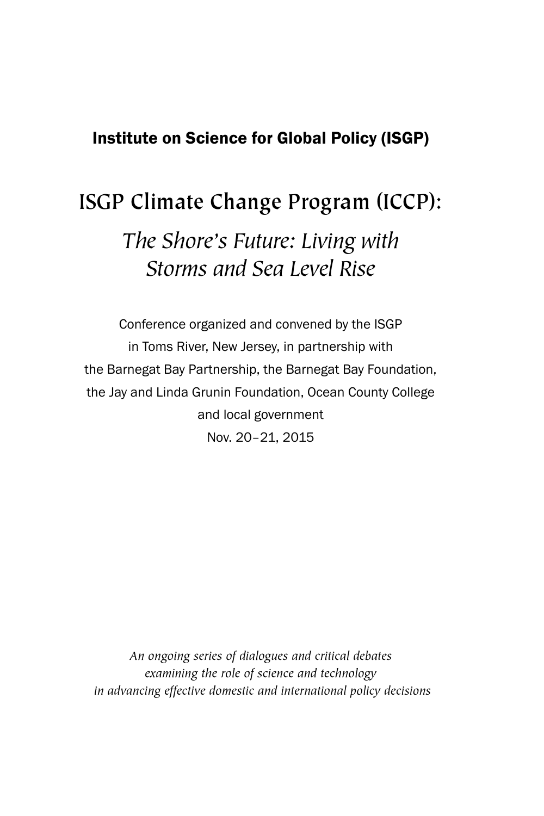# Institute on Science for Global Policy (ISGP)

# **ISGP Climate Change Program (ICCP):**

*The Shore's Future: Living with Storms and Sea Level Rise*

Conference organized and convened by the ISGP in Toms River, New Jersey, in partnership with the Barnegat Bay Partnership, the Barnegat Bay Foundation, the Jay and Linda Grunin Foundation, Ocean County College and local government Nov. 20–21, 2015

*An ongoing series of dialogues and critical debates examining the role of science and technology in advancing effective domestic and international policy decisions*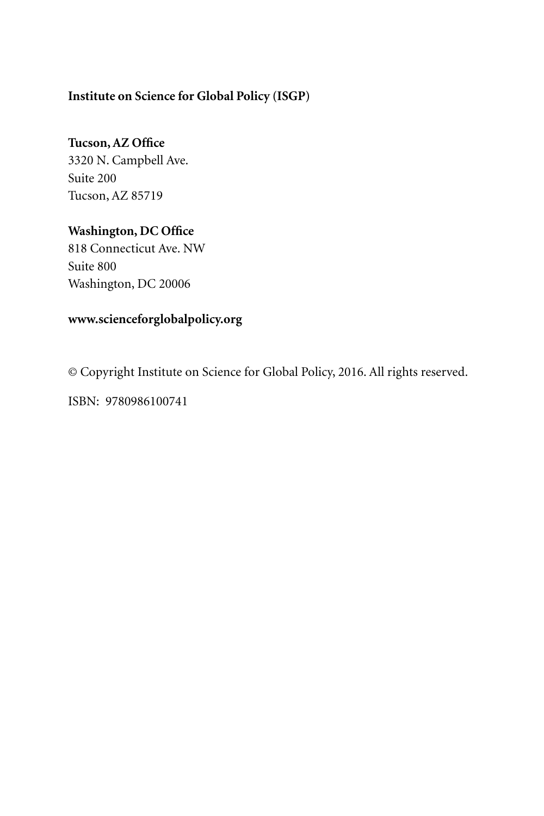# **Institute on Science for Global Policy (ISGP)**

# **Tucson, AZ Office**

3320 N. Campbell Ave. Suite 200 Tucson, AZ 85719

# **Washington, DC Office**

818 Connecticut Ave. NW Suite 800 Washington, DC 20006

# **www.scienceforglobalpolicy.org**

© Copyright Institute on Science for Global Policy, 2016. All rights reserved.

ISBN: 9780986100741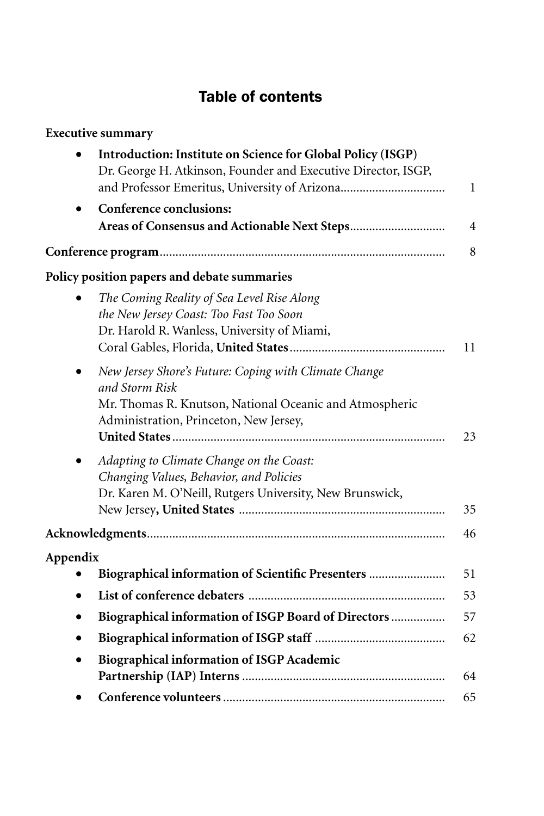# Table of contents

| <b>Executive summary</b>                                                                                                                                                      |              |
|-------------------------------------------------------------------------------------------------------------------------------------------------------------------------------|--------------|
| Introduction: Institute on Science for Global Policy (ISGP)<br>Dr. George H. Atkinson, Founder and Executive Director, ISGP,<br>and Professor Emeritus, University of Arizona | $\mathbf{1}$ |
| <b>Conference conclusions:</b>                                                                                                                                                |              |
|                                                                                                                                                                               | 4            |
|                                                                                                                                                                               | 8            |
| Policy position papers and debate summaries                                                                                                                                   |              |
| The Coming Reality of Sea Level Rise Along<br>the New Jersey Coast: Too Fast Too Soon<br>Dr. Harold R. Wanless, University of Miami,                                          | 11           |
| New Jersey Shore's Future: Coping with Climate Change<br>and Storm Risk<br>Mr. Thomas R. Knutson, National Oceanic and Atmospheric<br>Administration, Princeton, New Jersey,  | 23           |
| Adapting to Climate Change on the Coast:<br>Changing Values, Behavior, and Policies<br>Dr. Karen M. O'Neill, Rutgers University, New Brunswick,                               | 35           |
|                                                                                                                                                                               | 46           |
| Appendix                                                                                                                                                                      |              |
| Biographical information of Scientific Presenters                                                                                                                             | 51           |
| $\bullet$                                                                                                                                                                     | 53           |
| Biographical information of ISGP Board of Directors                                                                                                                           | 57           |
|                                                                                                                                                                               | 62           |
| <b>Biographical information of ISGP Academic</b>                                                                                                                              | 64           |
|                                                                                                                                                                               | 65           |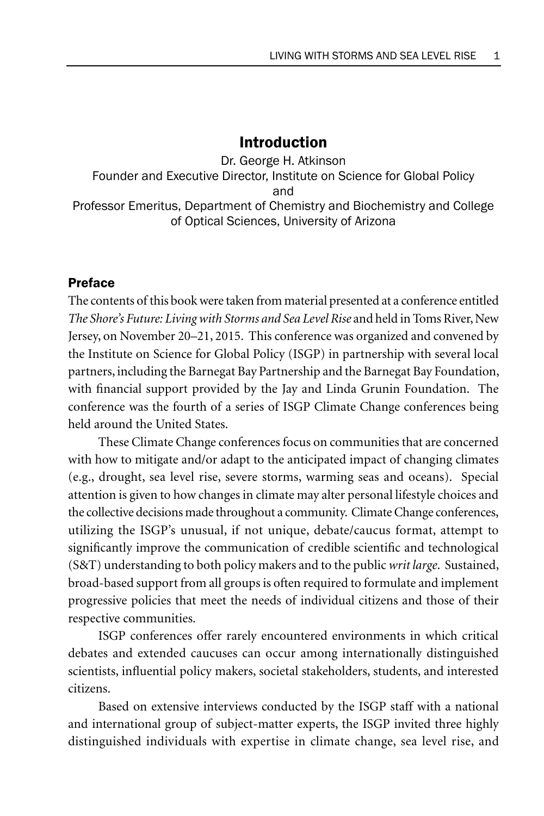# Introduction

Dr. George H. Atkinson Founder and Executive Director, Institute on Science for Global Policy and Professor Emeritus, Department of Chemistry and Biochemistry and College of Optical Sciences, University of Arizona

### Preface

The contents of this book were taken from material presented at a conference entitled *The Shore's Future: Living with Storms and Sea Level Rise* and held in Toms River, New Jersey, on November 20–21, 2015. This conference was organized and convened by the Institute on Science for Global Policy (ISGP) in partnership with several local partners, including the Barnegat Bay Partnership and the Barnegat Bay Foundation, with financial support provided by the Jay and Linda Grunin Foundation. The conference was the fourth of a series of ISGP Climate Change conferences being held around the United States.

These Climate Change conferences focus on communities that are concerned with how to mitigate and/or adapt to the anticipated impact of changing climates (e.g., drought, sea level rise, severe storms, warming seas and oceans). Special attention is given to how changes in climate may alter personal lifestyle choices and the collective decisions made throughout a community. Climate Change conferences, utilizing the ISGP's unusual, if not unique, debate/caucus format, attempt to significantly improve the communication of credible scientific and technological (S&T) understanding to both policy makers and to the public *writ large*. Sustained, broad-based support from all groups is often required to formulate and implement progressive policies that meet the needs of individual citizens and those of their respective communities.

ISGP conferences offer rarely encountered environments in which critical debates and extended caucuses can occur among internationally distinguished scientists, influential policy makers, societal stakeholders, students, and interested citizens.

Based on extensive interviews conducted by the ISGP staff with a national and international group of subject-matter experts, the ISGP invited three highly distinguished individuals with expertise in climate change, sea level rise, and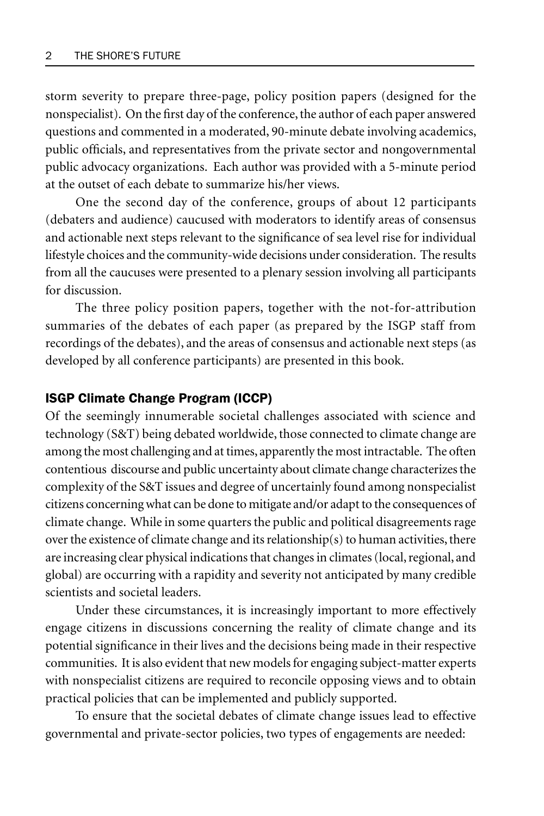storm severity to prepare three-page, policy position papers (designed for the nonspecialist). On the first day of the conference, the author of each paper answered questions and commented in a moderated, 90-minute debate involving academics, public officials, and representatives from the private sector and nongovernmental public advocacy organizations. Each author was provided with a 5-minute period at the outset of each debate to summarize his/her views.

One the second day of the conference, groups of about 12 participants (debaters and audience) caucused with moderators to identify areas of consensus and actionable next steps relevant to the significance of sea level rise for individual lifestyle choices and the community-wide decisions under consideration. The results from all the caucuses were presented to a plenary session involving all participants for discussion.

The three policy position papers, together with the not-for-attribution summaries of the debates of each paper (as prepared by the ISGP staff from recordings of the debates), and the areas of consensus and actionable next steps (as developed by all conference participants) are presented in this book.

#### ISGP Climate Change Program (ICCP)

Of the seemingly innumerable societal challenges associated with science and technology (S&T) being debated worldwide, those connected to climate change are among the most challenging and at times, apparently the most intractable. The often contentious discourse and public uncertainty about climate change characterizes the complexity of the S&T issues and degree of uncertainly found among nonspecialist citizens concerning what can be done to mitigate and/or adapt to the consequences of climate change. While in some quarters the public and political disagreements rage over the existence of climate change and its relationship(s) to human activities, there are increasing clear physical indications that changes in climates (local, regional, and global) are occurring with a rapidity and severity not anticipated by many credible scientists and societal leaders.

Under these circumstances, it is increasingly important to more effectively engage citizens in discussions concerning the reality of climate change and its potential significance in their lives and the decisions being made in their respective communities. It is also evident that new models for engaging subject-matter experts with nonspecialist citizens are required to reconcile opposing views and to obtain practical policies that can be implemented and publicly supported.

To ensure that the societal debates of climate change issues lead to effective governmental and private-sector policies, two types of engagements are needed: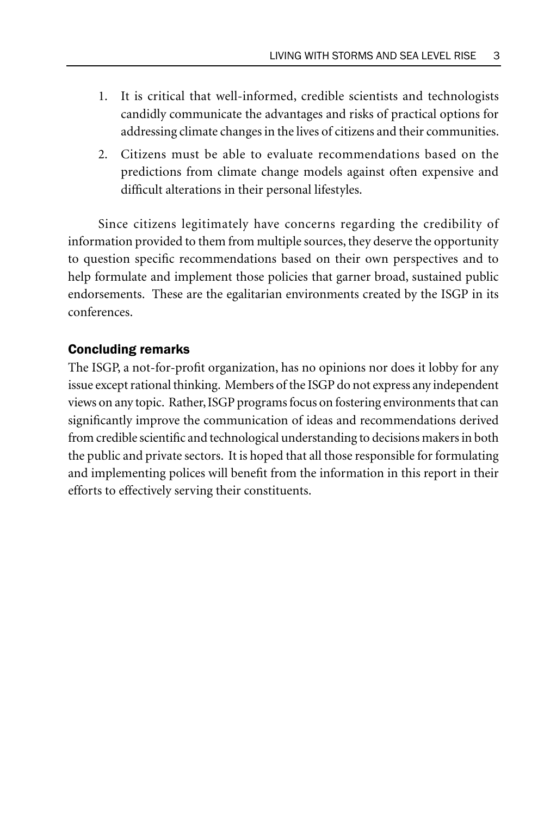- 1. It is critical that well-informed, credible scientists and technologists candidly communicate the advantages and risks of practical options for addressing climate changes in the lives of citizens and their communities.
- 2. Citizens must be able to evaluate recommendations based on the predictions from climate change models against often expensive and difficult alterations in their personal lifestyles.

Since citizens legitimately have concerns regarding the credibility of information provided to them from multiple sources, they deserve the opportunity to question specific recommendations based on their own perspectives and to help formulate and implement those policies that garner broad, sustained public endorsements. These are the egalitarian environments created by the ISGP in its conferences.

#### Concluding remarks

The ISGP, a not-for-profit organization, has no opinions nor does it lobby for any issue except rational thinking. Members of the ISGP do not express any independent views on any topic. Rather, ISGP programs focus on fostering environments that can significantly improve the communication of ideas and recommendations derived from credible scientific and technological understanding to decisions makers in both the public and private sectors. It is hoped that all those responsible for formulating and implementing polices will benefit from the information in this report in their efforts to effectively serving their constituents.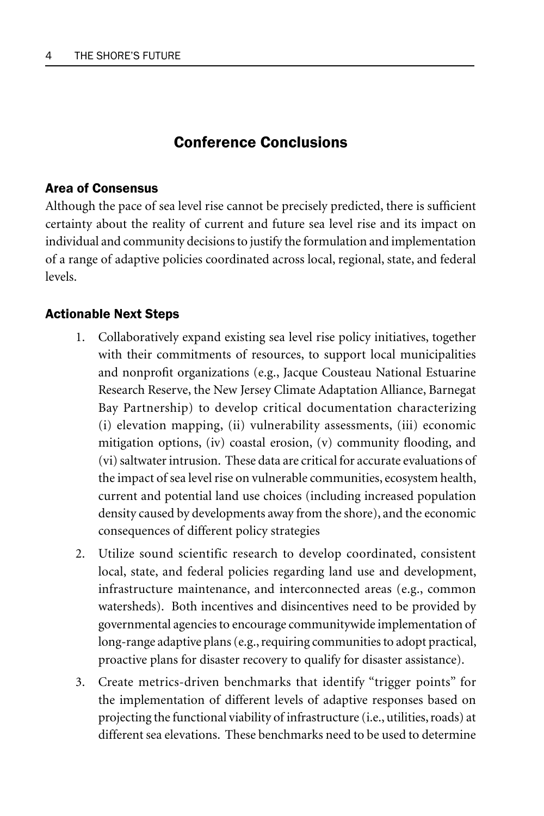# Conference Conclusions

### Area of Consensus

Although the pace of sea level rise cannot be precisely predicted, there is sufficient certainty about the reality of current and future sea level rise and its impact on individual and community decisions to justify the formulation and implementation of a range of adaptive policies coordinated across local, regional, state, and federal levels.

## Actionable Next Steps

- 1. Collaboratively expand existing sea level rise policy initiatives, together with their commitments of resources, to support local municipalities and nonprofit organizations (e.g., Jacque Cousteau National Estuarine Research Reserve, the New Jersey Climate Adaptation Alliance, Barnegat Bay Partnership) to develop critical documentation characterizing (i) elevation mapping, (ii) vulnerability assessments, (iii) economic mitigation options, (iv) coastal erosion, (v) community flooding, and (vi) saltwater intrusion. These data are critical for accurate evaluations of the impact of sea level rise on vulnerable communities, ecosystem health, current and potential land use choices (including increased population density caused by developments away from the shore), and the economic consequences of different policy strategies
- 2. Utilize sound scientific research to develop coordinated, consistent local, state, and federal policies regarding land use and development, infrastructure maintenance, and interconnected areas (e.g., common watersheds). Both incentives and disincentives need to be provided by governmental agencies to encourage communitywide implementation of long-range adaptive plans (e.g., requiring communities to adopt practical, proactive plans for disaster recovery to qualify for disaster assistance).
- 3. Create metrics-driven benchmarks that identify "trigger points" for the implementation of different levels of adaptive responses based on projecting the functional viability of infrastructure (i.e., utilities, roads) at different sea elevations. These benchmarks need to be used to determine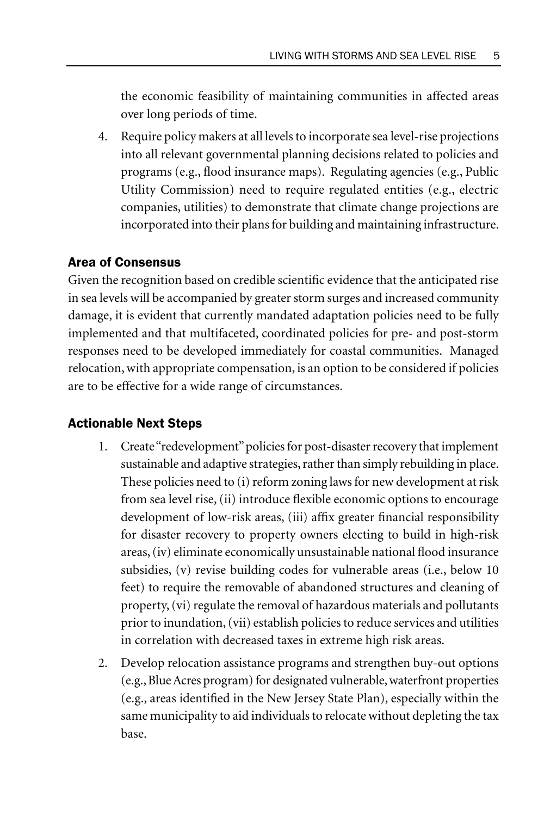the economic feasibility of maintaining communities in affected areas over long periods of time.

4. Require policy makers at all levels to incorporate sea level-rise projections into all relevant governmental planning decisions related to policies and programs (e.g., flood insurance maps). Regulating agencies (e.g., Public Utility Commission) need to require regulated entities (e.g., electric companies, utilities) to demonstrate that climate change projections are incorporated into their plans for building and maintaining infrastructure.

## Area of Consensus

Given the recognition based on credible scientific evidence that the anticipated rise in sea levels will be accompanied by greater storm surges and increased community damage, it is evident that currently mandated adaptation policies need to be fully implemented and that multifaceted, coordinated policies for pre- and post-storm responses need to be developed immediately for coastal communities. Managed relocation, with appropriate compensation, is an option to be considered if policies are to be effective for a wide range of circumstances.

#### Actionable Next Steps

- 1. Create "redevelopment" policies for post-disaster recovery that implement sustainable and adaptive strategies, rather than simply rebuilding in place. These policies need to (i) reform zoning laws for new development at risk from sea level rise, (ii) introduce flexible economic options to encourage development of low-risk areas, (iii) affix greater financial responsibility for disaster recovery to property owners electing to build in high-risk areas, (iv) eliminate economically unsustainable national flood insurance subsidies, (v) revise building codes for vulnerable areas (i.e., below 10 feet) to require the removable of abandoned structures and cleaning of property, (vi) regulate the removal of hazardous materials and pollutants prior to inundation, (vii) establish policies to reduce services and utilities in correlation with decreased taxes in extreme high risk areas.
- 2. Develop relocation assistance programs and strengthen buy-out options (e.g., Blue Acres program) for designated vulnerable, waterfront properties (e.g., areas identified in the New Jersey State Plan), especially within the same municipality to aid individuals to relocate without depleting the tax base.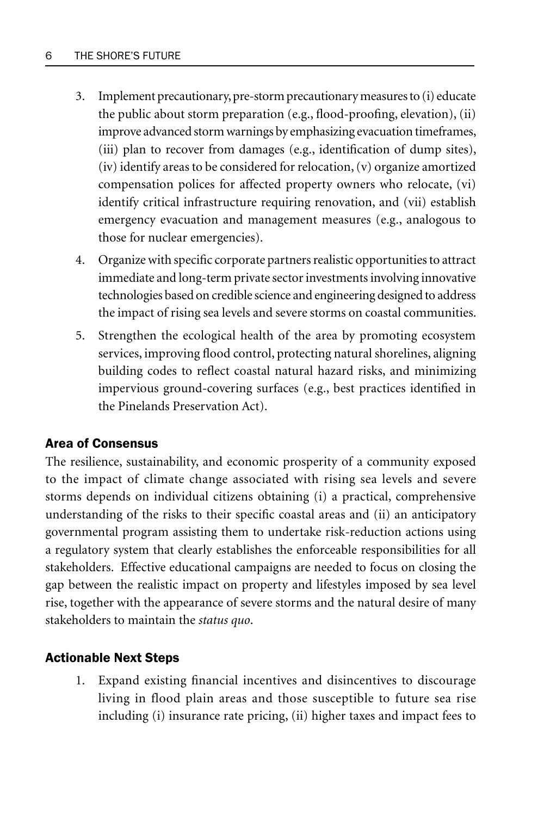- 3. Implement precautionary, pre-storm precautionary measures to (i) educate the public about storm preparation (e.g., flood-proofing, elevation), (ii) improve advanced storm warnings by emphasizing evacuation timeframes, (iii) plan to recover from damages (e.g., identification of dump sites), (iv) identify areas to be considered for relocation, (v) organize amortized compensation polices for affected property owners who relocate, (vi) identify critical infrastructure requiring renovation, and (vii) establish emergency evacuation and management measures (e.g., analogous to those for nuclear emergencies).
- 4. Organize with specific corporate partners realistic opportunities to attract immediate and long-term private sector investments involving innovative technologies based on credible science and engineering designed to address the impact of rising sea levels and severe storms on coastal communities.
- 5. Strengthen the ecological health of the area by promoting ecosystem services, improving flood control, protecting natural shorelines, aligning building codes to reflect coastal natural hazard risks, and minimizing impervious ground-covering surfaces (e.g., best practices identified in the Pinelands Preservation Act).

# Area of Consensus

The resilience, sustainability, and economic prosperity of a community exposed to the impact of climate change associated with rising sea levels and severe storms depends on individual citizens obtaining (i) a practical, comprehensive understanding of the risks to their specific coastal areas and (ii) an anticipatory governmental program assisting them to undertake risk-reduction actions using a regulatory system that clearly establishes the enforceable responsibilities for all stakeholders. Effective educational campaigns are needed to focus on closing the gap between the realistic impact on property and lifestyles imposed by sea level rise, together with the appearance of severe storms and the natural desire of many stakeholders to maintain the *status quo*.

# Actionable Next Steps

1. Expand existing financial incentives and disincentives to discourage living in flood plain areas and those susceptible to future sea rise including (i) insurance rate pricing, (ii) higher taxes and impact fees to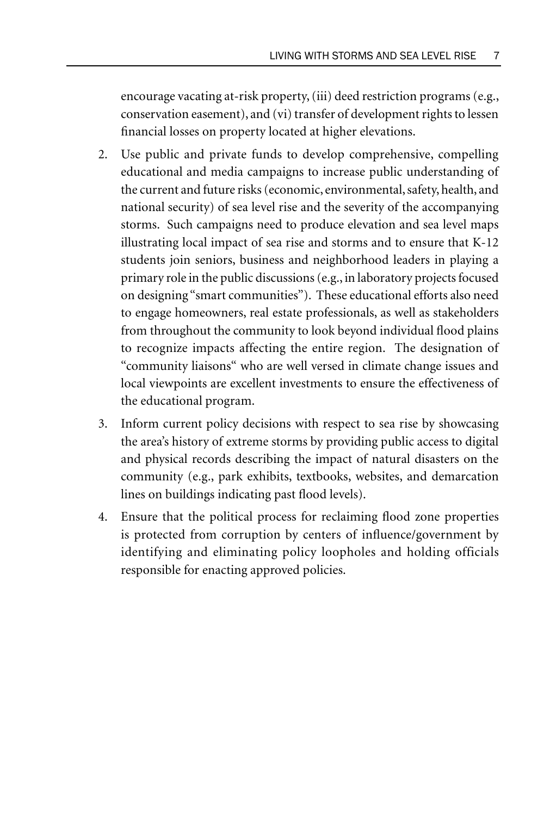encourage vacating at-risk property, (iii) deed restriction programs (e.g., conservation easement), and (vi) transfer of development rights to lessen financial losses on property located at higher elevations.

- 2. Use public and private funds to develop comprehensive, compelling educational and media campaigns to increase public understanding of the current and future risks (economic, environmental, safety, health, and national security) of sea level rise and the severity of the accompanying storms. Such campaigns need to produce elevation and sea level maps illustrating local impact of sea rise and storms and to ensure that K-12 students join seniors, business and neighborhood leaders in playing a primary role in the public discussions (e.g., in laboratory projects focused on designing "smart communities"). These educational efforts also need to engage homeowners, real estate professionals, as well as stakeholders from throughout the community to look beyond individual flood plains to recognize impacts affecting the entire region. The designation of "community liaisons" who are well versed in climate change issues and local viewpoints are excellent investments to ensure the effectiveness of the educational program.
- 3. Inform current policy decisions with respect to sea rise by showcasing the area's history of extreme storms by providing public access to digital and physical records describing the impact of natural disasters on the community (e.g., park exhibits, textbooks, websites, and demarcation lines on buildings indicating past flood levels).
- 4. Ensure that the political process for reclaiming flood zone properties is protected from corruption by centers of influence/government by identifying and eliminating policy loopholes and holding officials responsible for enacting approved policies.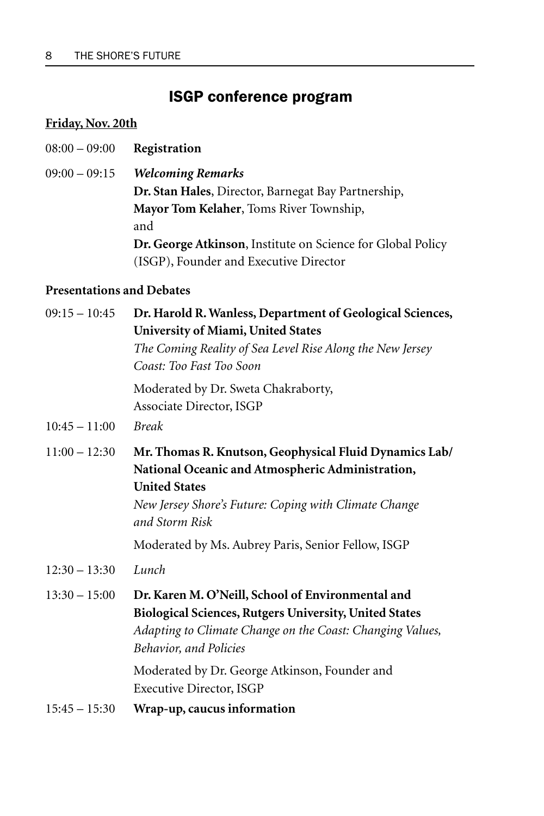# ISGP conference program

# **Friday, Nov. 20th**

- 08:00 09:00 **Registration**
- 09:00 09:15 *Welcoming Remarks* **Dr. Stan Hales**, Director, Barnegat Bay Partnership, **Mayor Tom Kelaher**, Toms River Township, and **Dr. George Atkinson**, Institute on Science for Global Policy (ISGP), Founder and Executive Director

## **Presentations and Debates**

| $09:15 - 10:45$ | Dr. Harold R. Wanless, Department of Geological Sciences,<br>University of Miami, United States                                                                                                               |
|-----------------|---------------------------------------------------------------------------------------------------------------------------------------------------------------------------------------------------------------|
|                 | The Coming Reality of Sea Level Rise Along the New Jersey<br>Coast: Too Fast Too Soon                                                                                                                         |
|                 | Moderated by Dr. Sweta Chakraborty,<br>Associate Director, ISGP                                                                                                                                               |
| $10:45 - 11:00$ | <b>Break</b>                                                                                                                                                                                                  |
| $11:00 - 12:30$ | Mr. Thomas R. Knutson, Geophysical Fluid Dynamics Lab/<br>National Oceanic and Atmospheric Administration,<br><b>United States</b><br>New Jersey Shore's Future: Coping with Climate Change<br>and Storm Risk |
|                 | Moderated by Ms. Aubrey Paris, Senior Fellow, ISGP                                                                                                                                                            |
| $12:30 - 13:30$ | Lunch                                                                                                                                                                                                         |
| $13:30 - 15:00$ | Dr. Karen M. O'Neill, School of Environmental and<br>Biological Sciences, Rutgers University, United States<br>Adapting to Climate Change on the Coast: Changing Values,<br><b>Behavior, and Policies</b>     |
|                 | Moderated by Dr. George Atkinson, Founder and<br>Executive Director, ISGP                                                                                                                                     |
| $15:45 - 15:30$ | Wrap-up, caucus information                                                                                                                                                                                   |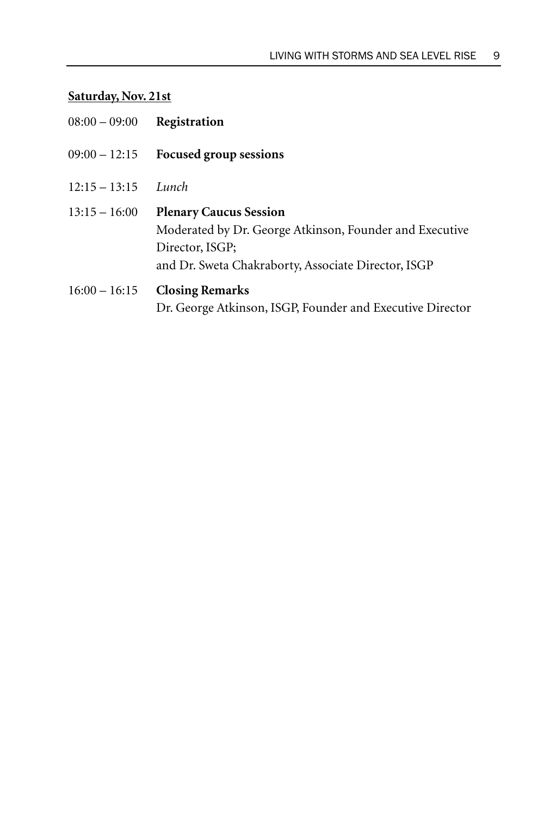# **Saturday, Nov. 21st**

| $08:00 - 09:00$ | Registration                                                                                                                                                       |
|-----------------|--------------------------------------------------------------------------------------------------------------------------------------------------------------------|
| $09:00 - 12:15$ | <b>Focused group sessions</b>                                                                                                                                      |
| $12:15 - 13:15$ | Lunch                                                                                                                                                              |
| $13:15 - 16:00$ | <b>Plenary Caucus Session</b><br>Moderated by Dr. George Atkinson, Founder and Executive<br>Director, ISGP;<br>and Dr. Sweta Chakraborty, Associate Director, ISGP |
| $16:00 - 16:15$ | <b>Closing Remarks</b><br>Dr. George Atkinson, ISGP, Founder and Executive Director                                                                                |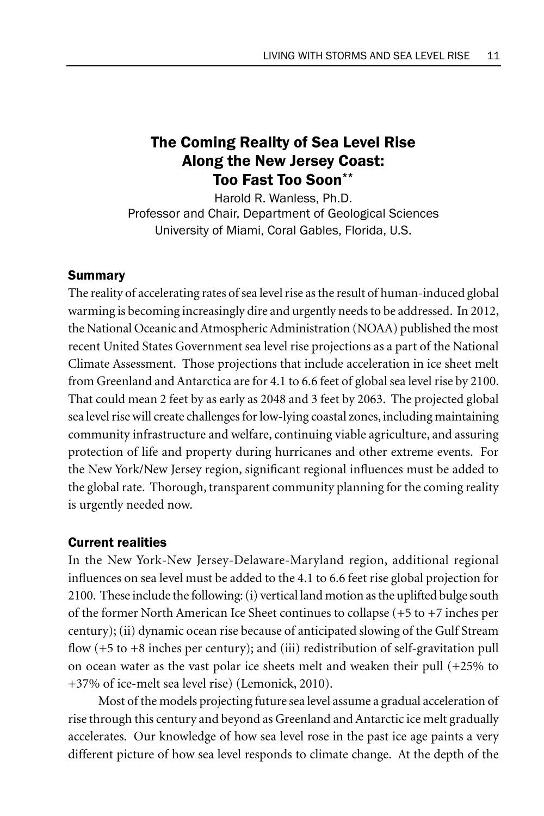# The Coming Reality of Sea Level Rise Along the New Jersey Coast: Too Fast Too Soon\*\*

Harold R. Wanless, Ph.D. Professor and Chair, Department of Geological Sciences University of Miami, Coral Gables, Florida, U.S.

# Summary

The reality of accelerating rates of sea level rise as the result of human-induced global warming is becoming increasingly dire and urgently needs to be addressed. In 2012, the National Oceanic and Atmospheric Administration (NOAA) published the most recent United States Government sea level rise projections as a part of the National Climate Assessment. Those projections that include acceleration in ice sheet melt from Greenland and Antarctica are for 4.1 to 6.6 feet of global sea level rise by 2100. That could mean 2 feet by as early as 2048 and 3 feet by 2063. The projected global sea level rise will create challenges for low-lying coastal zones, including maintaining community infrastructure and welfare, continuing viable agriculture, and assuring protection of life and property during hurricanes and other extreme events. For the New York/New Jersey region, significant regional influences must be added to the global rate. Thorough, transparent community planning for the coming reality is urgently needed now.

## Current realities

In the New York-New Jersey-Delaware-Maryland region, additional regional influences on sea level must be added to the 4.1 to 6.6 feet rise global projection for 2100. These include the following: (i) vertical land motion as the uplifted bulge south of the former North American Ice Sheet continues to collapse (+5 to +7 inches per century); (ii) dynamic ocean rise because of anticipated slowing of the Gulf Stream flow  $(+5 \text{ to } +8 \text{ inches per century})$ ; and  $(iii)$  redistribution of self-gravitation pull on ocean water as the vast polar ice sheets melt and weaken their pull (+25% to +37% of ice-melt sea level rise) (Lemonick, 2010).

Most of the models projecting future sea level assume a gradual acceleration of rise through this century and beyond as Greenland and Antarctic ice melt gradually accelerates. Our knowledge of how sea level rose in the past ice age paints a very different picture of how sea level responds to climate change. At the depth of the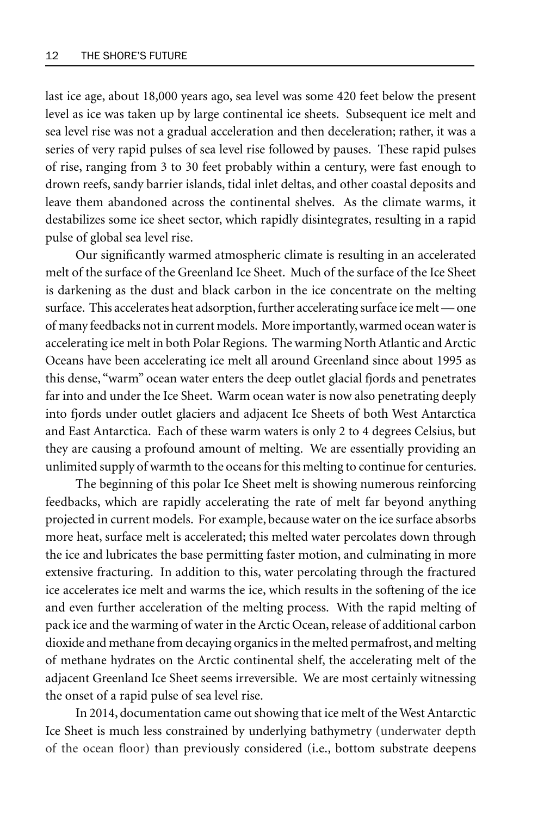last ice age, about 18,000 years ago, sea level was some 420 feet below the present level as ice was taken up by large continental ice sheets. Subsequent ice melt and sea level rise was not a gradual acceleration and then deceleration; rather, it was a series of very rapid pulses of sea level rise followed by pauses. These rapid pulses of rise, ranging from 3 to 30 feet probably within a century, were fast enough to drown reefs, sandy barrier islands, tidal inlet deltas, and other coastal deposits and leave them abandoned across the continental shelves. As the climate warms, it destabilizes some ice sheet sector, which rapidly disintegrates, resulting in a rapid pulse of global sea level rise.

Our significantly warmed atmospheric climate is resulting in an accelerated melt of the surface of the Greenland Ice Sheet. Much of the surface of the Ice Sheet is darkening as the dust and black carbon in the ice concentrate on the melting surface. This accelerates heat adsorption, further accelerating surface ice melt — one of many feedbacks not in current models. More importantly, warmed ocean water is accelerating ice melt in both Polar Regions. The warming North Atlantic and Arctic Oceans have been accelerating ice melt all around Greenland since about 1995 as this dense, "warm" ocean water enters the deep outlet glacial fjords and penetrates far into and under the Ice Sheet. Warm ocean water is now also penetrating deeply into fjords under outlet glaciers and adjacent Ice Sheets of both West Antarctica and East Antarctica. Each of these warm waters is only 2 to 4 degrees Celsius, but they are causing a profound amount of melting. We are essentially providing an unlimited supply of warmth to the oceans for this melting to continue for centuries.

The beginning of this polar Ice Sheet melt is showing numerous reinforcing feedbacks, which are rapidly accelerating the rate of melt far beyond anything projected in current models. For example, because water on the ice surface absorbs more heat, surface melt is accelerated; this melted water percolates down through the ice and lubricates the base permitting faster motion, and culminating in more extensive fracturing. In addition to this, water percolating through the fractured ice accelerates ice melt and warms the ice, which results in the softening of the ice and even further acceleration of the melting process. With the rapid melting of pack ice and the warming of water in the Arctic Ocean, release of additional carbon dioxide and methane from decaying organics in the melted permafrost, and melting of methane hydrates on the Arctic continental shelf, the accelerating melt of the adjacent Greenland Ice Sheet seems irreversible. We are most certainly witnessing the onset of a rapid pulse of sea level rise.

In 2014, documentation came out showing that ice melt of the West Antarctic Ice Sheet is much less constrained by underlying bathymetry (underwater depth of the ocean floor) than previously considered (i.e., bottom substrate deepens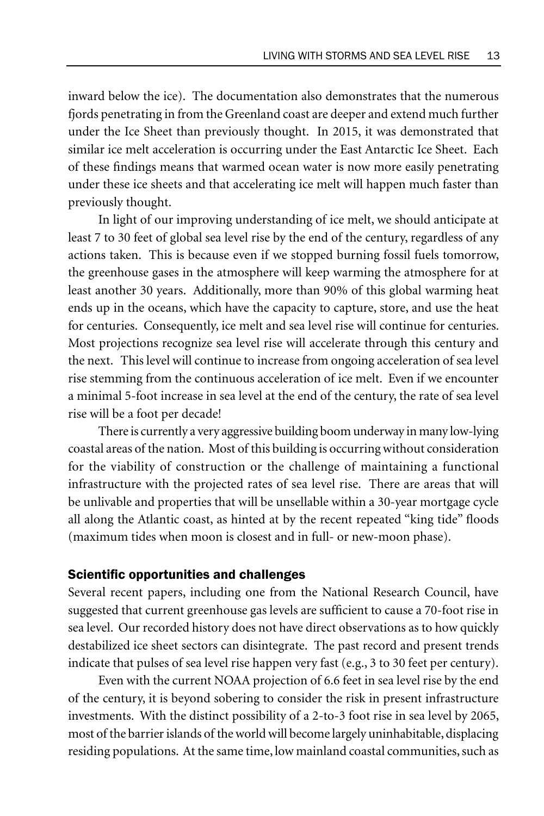inward below the ice). The documentation also demonstrates that the numerous fjords penetrating in from the Greenland coast are deeper and extend much further under the Ice Sheet than previously thought. In 2015, it was demonstrated that similar ice melt acceleration is occurring under the East Antarctic Ice Sheet. Each of these findings means that warmed ocean water is now more easily penetrating under these ice sheets and that accelerating ice melt will happen much faster than previously thought.

In light of our improving understanding of ice melt, we should anticipate at least 7 to 30 feet of global sea level rise by the end of the century, regardless of any actions taken. This is because even if we stopped burning fossil fuels tomorrow, the greenhouse gases in the atmosphere will keep warming the atmosphere for at least another 30 years. Additionally, more than 90% of this global warming heat ends up in the oceans, which have the capacity to capture, store, and use the heat for centuries. Consequently, ice melt and sea level rise will continue for centuries. Most projections recognize sea level rise will accelerate through this century and the next. This level will continue to increase from ongoing acceleration of sea level rise stemming from the continuous acceleration of ice melt. Even if we encounter a minimal 5-foot increase in sea level at the end of the century, the rate of sea level rise will be a foot per decade!

There is currently a very aggressive building boom underway in many low-lying coastal areas of the nation. Most of this building is occurring without consideration for the viability of construction or the challenge of maintaining a functional infrastructure with the projected rates of sea level rise. There are areas that will be unlivable and properties that will be unsellable within a 30-year mortgage cycle all along the Atlantic coast, as hinted at by the recent repeated "king tide" floods (maximum tides when moon is closest and in full- or new-moon phase).

#### Scientific opportunities and challenges

Several recent papers, including one from the National Research Council, have suggested that current greenhouse gas levels are sufficient to cause a 70-foot rise in sea level. Our recorded history does not have direct observations as to how quickly destabilized ice sheet sectors can disintegrate. The past record and present trends indicate that pulses of sea level rise happen very fast (e.g., 3 to 30 feet per century).

Even with the current NOAA projection of 6.6 feet in sea level rise by the end of the century, it is beyond sobering to consider the risk in present infrastructure investments. With the distinct possibility of a 2-to-3 foot rise in sea level by 2065, most of the barrier islands of the world will become largely uninhabitable, displacing residing populations. At the same time, low mainland coastal communities, such as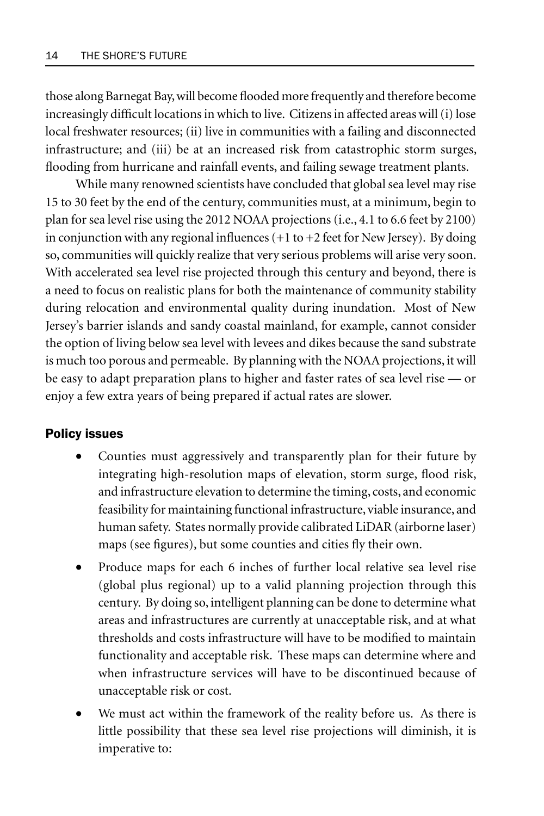those along Barnegat Bay, will become flooded more frequently and therefore become increasingly difficult locations in which to live. Citizens in affected areas will (i) lose local freshwater resources; (ii) live in communities with a failing and disconnected infrastructure; and (iii) be at an increased risk from catastrophic storm surges, flooding from hurricane and rainfall events, and failing sewage treatment plants.

While many renowned scientists have concluded that global sea level may rise 15 to 30 feet by the end of the century, communities must, at a minimum, begin to plan for sea level rise using the 2012 NOAA projections (i.e., 4.1 to 6.6 feet by 2100) in conjunction with any regional influences  $(+1$  to  $+2$  feet for New Jersey). By doing so, communities will quickly realize that very serious problems will arise very soon. With accelerated sea level rise projected through this century and beyond, there is a need to focus on realistic plans for both the maintenance of community stability during relocation and environmental quality during inundation. Most of New Jersey's barrier islands and sandy coastal mainland, for example, cannot consider the option of living below sea level with levees and dikes because the sand substrate is much too porous and permeable. By planning with the NOAA projections, it will be easy to adapt preparation plans to higher and faster rates of sea level rise — or enjoy a few extra years of being prepared if actual rates are slower.

#### Policy issues

- Counties must aggressively and transparently plan for their future by integrating high-resolution maps of elevation, storm surge, flood risk, and infrastructure elevation to determine the timing, costs, and economic feasibility for maintaining functional infrastructure, viable insurance, and human safety. States normally provide calibrated LiDAR (airborne laser) maps (see figures), but some counties and cities fly their own.
- Produce maps for each 6 inches of further local relative sea level rise (global plus regional) up to a valid planning projection through this century. By doing so, intelligent planning can be done to determine what areas and infrastructures are currently at unacceptable risk, and at what thresholds and costs infrastructure will have to be modified to maintain functionality and acceptable risk. These maps can determine where and when infrastructure services will have to be discontinued because of unacceptable risk or cost.
- We must act within the framework of the reality before us. As there is little possibility that these sea level rise projections will diminish, it is imperative to: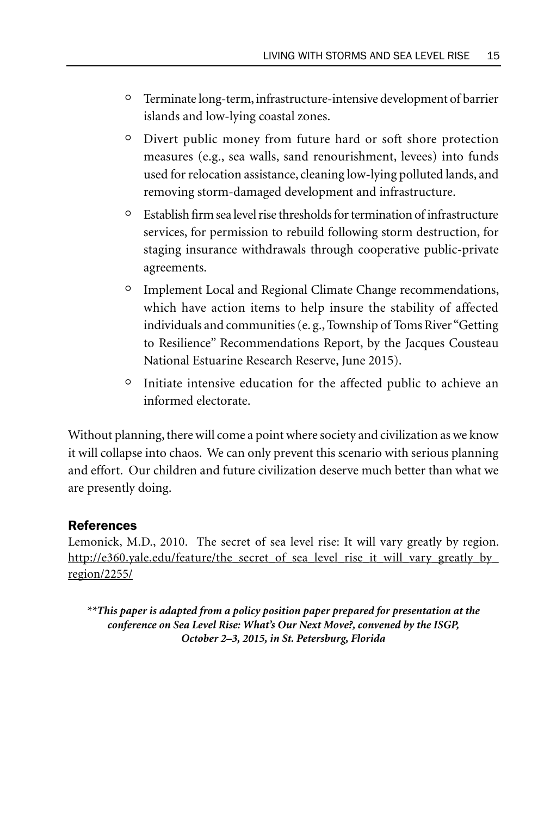- ° Terminate long-term, infrastructure-intensive development of barrier islands and low-lying coastal zones.
- ° Divert public money from future hard or soft shore protection measures (e.g., sea walls, sand renourishment, levees) into funds used for relocation assistance, cleaning low-lying polluted lands, and removing storm-damaged development and infrastructure.
- ° Establish firm sea level rise thresholds for termination of infrastructure services, for permission to rebuild following storm destruction, for staging insurance withdrawals through cooperative public-private agreements.
- ° Implement Local and Regional Climate Change recommendations, which have action items to help insure the stability of affected individuals and communities (e. g., Township of Toms River "Getting to Resilience" Recommendations Report, by the Jacques Cousteau National Estuarine Research Reserve, June 2015).
- ° Initiate intensive education for the affected public to achieve an informed electorate.

Without planning, there will come a point where society and civilization as we know it will collapse into chaos. We can only prevent this scenario with serious planning and effort. Our children and future civilization deserve much better than what we are presently doing.

## References

Lemonick, M.D., 2010. The secret of sea level rise: It will vary greatly by region. http://e360.yale.edu/feature/the\_secret\_of\_sea\_level\_rise\_it\_will\_vary\_greatly\_by\_ region/2255/

*\*\*This paper is adapted from a policy position paper prepared for presentation at the conference on Sea Level Rise: What's Our Next Move?, convened by the ISGP, October 2–3, 2015, in St. Petersburg, Florida*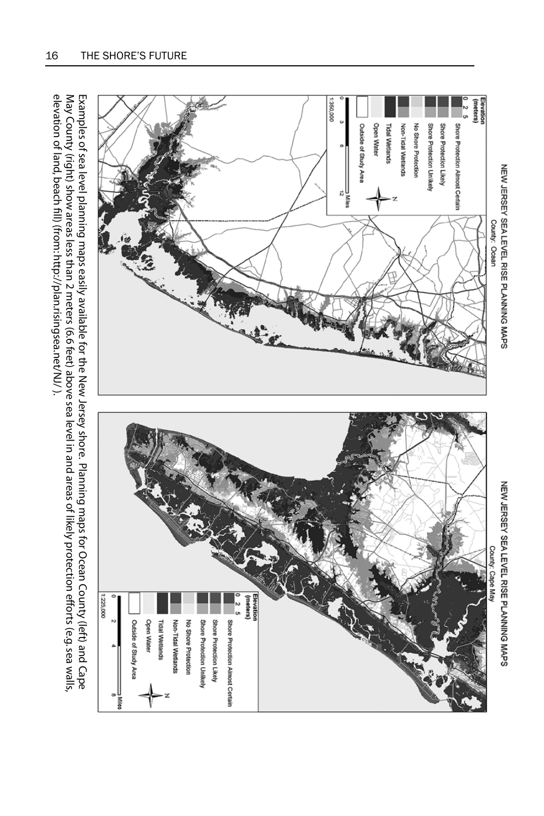

elevation of land, beach fill) (from: http://plan.risingsea.net/NJ/ ). Examples of sea level planning maps easily available for the New Jersey shore. Planning maps for Ocean County (left) and Cape<br>May County (right) show areas less than 2 meters (6.6 feet) above sea level in and areas of like

 $\frac{8}{3}$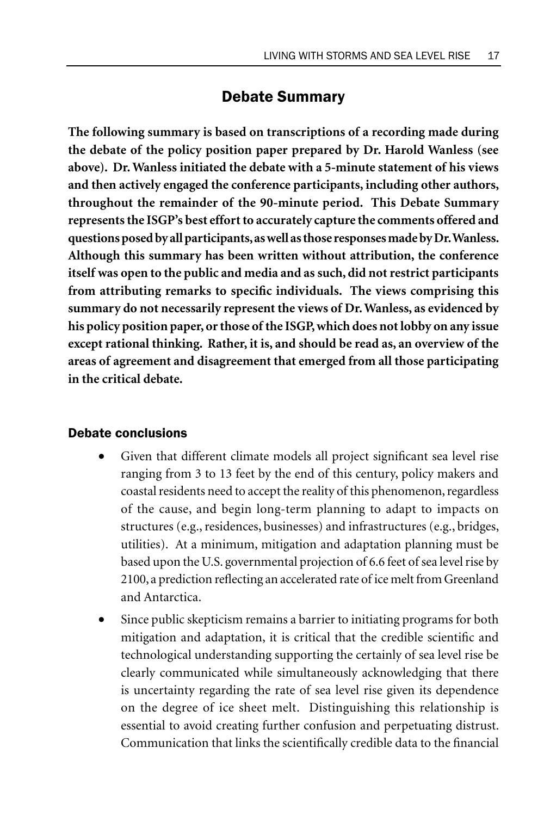# Debate Summary

**The following summary is based on transcriptions of a recording made during the debate of the policy position paper prepared by Dr. Harold Wanless (see above). Dr. Wanless initiated the debate with a 5-minute statement of his views and then actively engaged the conference participants, including other authors, throughout the remainder of the 90-minute period. This Debate Summary represents the ISGP's best effort to accurately capture the comments offered and questions posed by all participants, as well as those responses made by Dr. Wanless. Although this summary has been written without attribution, the conference itself was open to the public and media and as such, did not restrict participants from attributing remarks to specific individuals. The views comprising this summary do not necessarily represent the views of Dr. Wanless, as evidenced by his policy position paper, or those of the ISGP, which does not lobby on any issue except rational thinking. Rather, it is, and should be read as, an overview of the areas of agreement and disagreement that emerged from all those participating in the critical debate.**

#### Debate conclusions

- Given that different climate models all project significant sea level rise ranging from 3 to 13 feet by the end of this century, policy makers and coastal residents need to accept the reality of this phenomenon, regardless of the cause, and begin long-term planning to adapt to impacts on structures (e.g., residences, businesses) and infrastructures (e.g., bridges, utilities). At a minimum, mitigation and adaptation planning must be based upon the U.S. governmental projection of 6.6 feet of sea level rise by 2100, a prediction reflecting an accelerated rate of ice melt from Greenland and Antarctica.
- Since public skepticism remains a barrier to initiating programs for both mitigation and adaptation, it is critical that the credible scientific and technological understanding supporting the certainly of sea level rise be clearly communicated while simultaneously acknowledging that there is uncertainty regarding the rate of sea level rise given its dependence on the degree of ice sheet melt. Distinguishing this relationship is essential to avoid creating further confusion and perpetuating distrust. Communication that links the scientifically credible data to the financial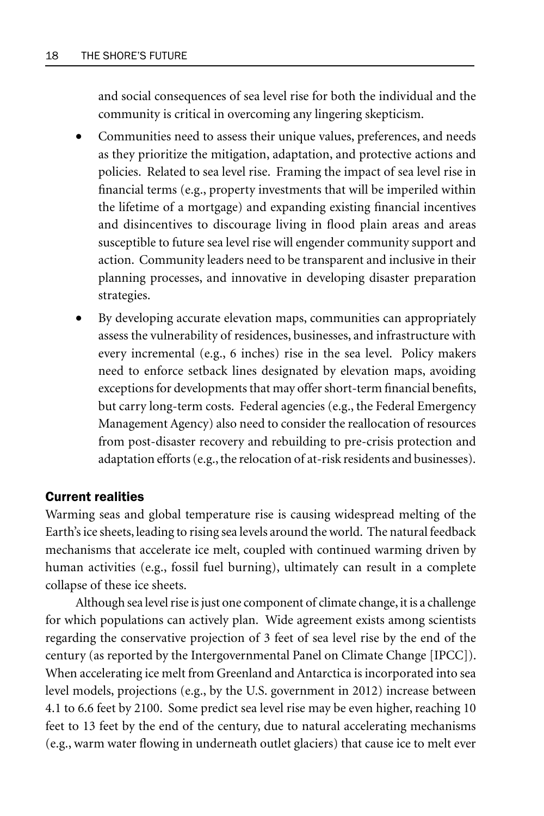and social consequences of sea level rise for both the individual and the community is critical in overcoming any lingering skepticism.

- Communities need to assess their unique values, preferences, and needs as they prioritize the mitigation, adaptation, and protective actions and policies. Related to sea level rise. Framing the impact of sea level rise in financial terms (e.g., property investments that will be imperiled within the lifetime of a mortgage) and expanding existing financial incentives and disincentives to discourage living in flood plain areas and areas susceptible to future sea level rise will engender community support and action. Community leaders need to be transparent and inclusive in their planning processes, and innovative in developing disaster preparation strategies.
- By developing accurate elevation maps, communities can appropriately assess the vulnerability of residences, businesses, and infrastructure with every incremental (e.g., 6 inches) rise in the sea level. Policy makers need to enforce setback lines designated by elevation maps, avoiding exceptions for developments that may offer short-term financial benefits, but carry long-term costs. Federal agencies (e.g., the Federal Emergency Management Agency) also need to consider the reallocation of resources from post-disaster recovery and rebuilding to pre-crisis protection and adaptation efforts (e.g., the relocation of at-risk residents and businesses).

#### Current realities

Warming seas and global temperature rise is causing widespread melting of the Earth's ice sheets, leading to rising sea levels around the world. The natural feedback mechanisms that accelerate ice melt, coupled with continued warming driven by human activities (e.g., fossil fuel burning), ultimately can result in a complete collapse of these ice sheets.

Although sea level rise is just one component of climate change, it is a challenge for which populations can actively plan. Wide agreement exists among scientists regarding the conservative projection of 3 feet of sea level rise by the end of the century (as reported by the Intergovernmental Panel on Climate Change [IPCC]). When accelerating ice melt from Greenland and Antarctica is incorporated into sea level models, projections (e.g., by the U.S. government in 2012) increase between 4.1 to 6.6 feet by 2100. Some predict sea level rise may be even higher, reaching 10 feet to 13 feet by the end of the century, due to natural accelerating mechanisms (e.g., warm water flowing in underneath outlet glaciers) that cause ice to melt ever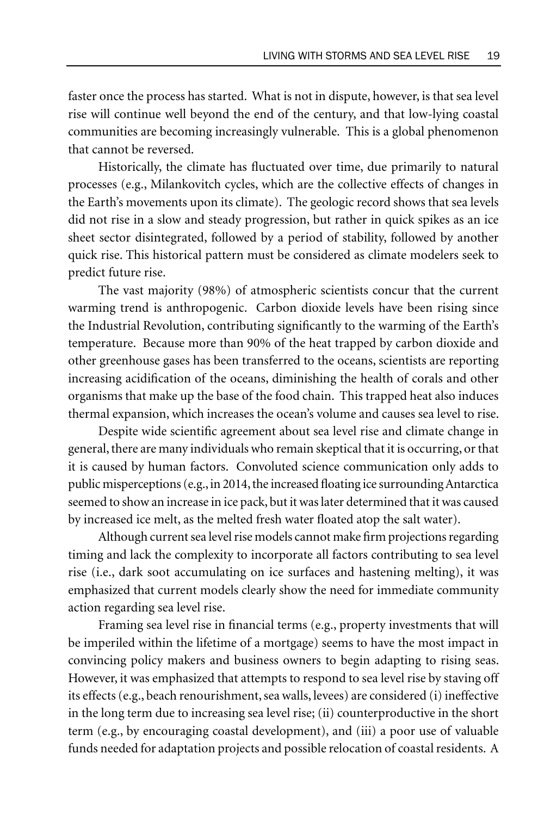faster once the process has started. What is not in dispute, however, is that sea level rise will continue well beyond the end of the century, and that low-lying coastal communities are becoming increasingly vulnerable. This is a global phenomenon that cannot be reversed.

Historically, the climate has fluctuated over time, due primarily to natural processes (e.g., Milankovitch cycles, which are the collective effects of changes in the Earth's movements upon its climate). The geologic record shows that sea levels did not rise in a slow and steady progression, but rather in quick spikes as an ice sheet sector disintegrated, followed by a period of stability, followed by another quick rise. This historical pattern must be considered as climate modelers seek to predict future rise.

The vast majority (98%) of atmospheric scientists concur that the current warming trend is anthropogenic. Carbon dioxide levels have been rising since the Industrial Revolution, contributing significantly to the warming of the Earth's temperature. Because more than 90% of the heat trapped by carbon dioxide and other greenhouse gases has been transferred to the oceans, scientists are reporting increasing acidification of the oceans, diminishing the health of corals and other organisms that make up the base of the food chain. This trapped heat also induces thermal expansion, which increases the ocean's volume and causes sea level to rise.

Despite wide scientific agreement about sea level rise and climate change in general, there are many individuals who remain skeptical that it is occurring, or that it is caused by human factors. Convoluted science communication only adds to public misperceptions (e.g., in 2014, the increased floating ice surrounding Antarctica seemed to show an increase in ice pack, but it was later determined that it was caused by increased ice melt, as the melted fresh water floated atop the salt water).

Although current sea level rise models cannot make firm projections regarding timing and lack the complexity to incorporate all factors contributing to sea level rise (i.e., dark soot accumulating on ice surfaces and hastening melting), it was emphasized that current models clearly show the need for immediate community action regarding sea level rise.

Framing sea level rise in financial terms (e.g., property investments that will be imperiled within the lifetime of a mortgage) seems to have the most impact in convincing policy makers and business owners to begin adapting to rising seas. However, it was emphasized that attempts to respond to sea level rise by staving off its effects (e.g., beach renourishment, sea walls, levees) are considered (i) ineffective in the long term due to increasing sea level rise; (ii) counterproductive in the short term (e.g., by encouraging coastal development), and (iii) a poor use of valuable funds needed for adaptation projects and possible relocation of coastal residents. A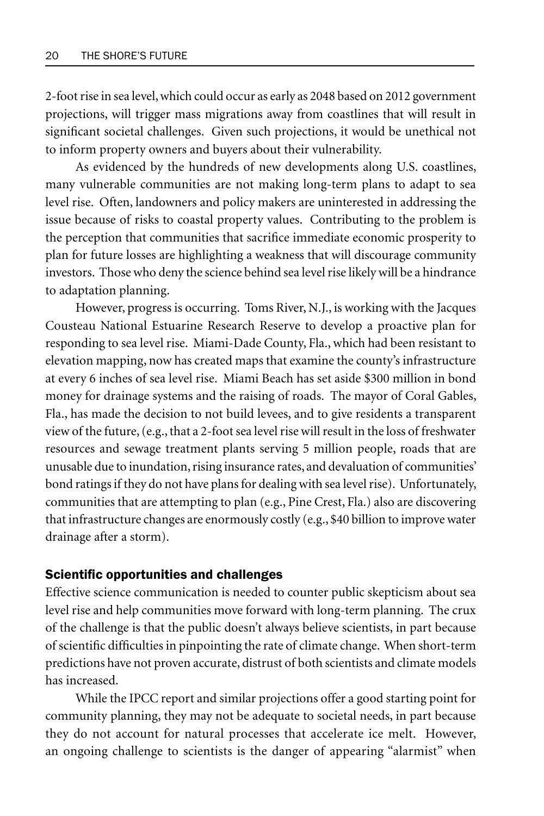2-foot rise in sea level, which could occur as early as 2048 based on 2012 government projections, will trigger mass migrations away from coastlines that will result in significant societal challenges. Given such projections, it would be unethical not to inform property owners and buyers about their vulnerability.

As evidenced by the hundreds of new developments along U.S. coastlines, many vulnerable communities are not making long-term plans to adapt to sea level rise. Often, landowners and policy makers are uninterested in addressing the issue because of risks to coastal property values. Contributing to the problem is the perception that communities that sacrifice immediate economic prosperity to plan for future losses are highlighting a weakness that will discourage community investors. Those who deny the science behind sea level rise likely will be a hindrance to adaptation planning.

However, progress is occurring. Toms River, N.J., is working with the Jacques Cousteau National Estuarine Research Reserve to develop a proactive plan for responding to sea level rise. Miami-Dade County, Fla., which had been resistant to elevation mapping, now has created maps that examine the county's infrastructure at every 6 inches of sea level rise. Miami Beach has set aside \$300 million in bond money for drainage systems and the raising of roads. The mayor of Coral Gables, Fla., has made the decision to not build levees, and to give residents a transparent view of the future, (e.g., that a 2-foot sea level rise will result in the loss of freshwater resources and sewage treatment plants serving 5 million people, roads that are unusable due to inundation, rising insurance rates, and devaluation of communities' bond ratings if they do not have plans for dealing with sea level rise). Unfortunately, communities that are attempting to plan (e.g., Pine Crest, Fla.) also are discovering that infrastructure changes are enormously costly (e.g., \$40 billion to improve water drainage after a storm).

#### Scientific opportunities and challenges

Effective science communication is needed to counter public skepticism about sea level rise and help communities move forward with long-term planning. The crux of the challenge is that the public doesn't always believe scientists, in part because of scientific difficulties in pinpointing the rate of climate change. When short-term predictions have not proven accurate, distrust of both scientists and climate models has increased.

While the IPCC report and similar projections offer a good starting point for community planning, they may not be adequate to societal needs, in part because they do not account for natural processes that accelerate ice melt. However, an ongoing challenge to scientists is the danger of appearing "alarmist" when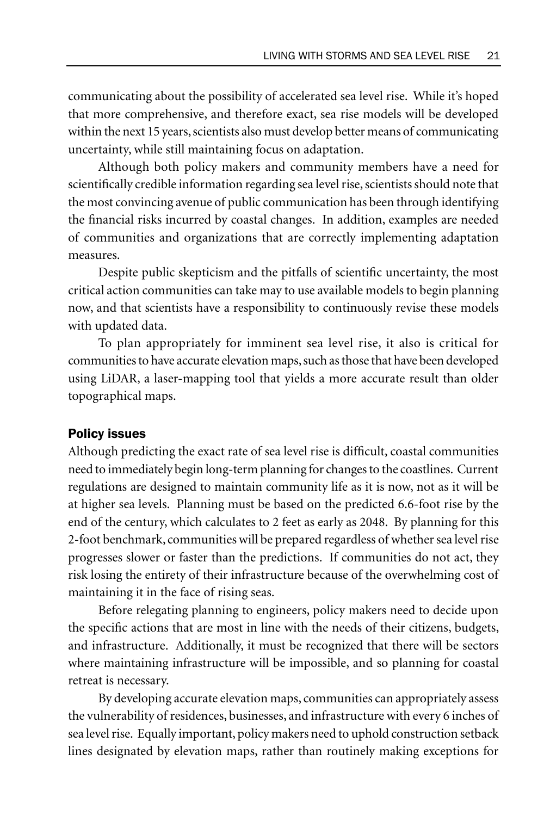communicating about the possibility of accelerated sea level rise. While it's hoped that more comprehensive, and therefore exact, sea rise models will be developed within the next 15 years, scientists also must develop better means of communicating uncertainty, while still maintaining focus on adaptation.

Although both policy makers and community members have a need for scientifically credible information regarding sea level rise, scientists should note that the most convincing avenue of public communication has been through identifying the financial risks incurred by coastal changes. In addition, examples are needed of communities and organizations that are correctly implementing adaptation measures.

Despite public skepticism and the pitfalls of scientific uncertainty, the most critical action communities can take may to use available models to begin planning now, and that scientists have a responsibility to continuously revise these models with updated data.

To plan appropriately for imminent sea level rise, it also is critical for communities to have accurate elevation maps, such as those that have been developed using LiDAR, a laser-mapping tool that yields a more accurate result than older topographical maps.

#### Policy issues

Although predicting the exact rate of sea level rise is difficult, coastal communities need to immediately begin long-term planning for changes to the coastlines. Current regulations are designed to maintain community life as it is now, not as it will be at higher sea levels. Planning must be based on the predicted 6.6-foot rise by the end of the century, which calculates to 2 feet as early as 2048. By planning for this 2-foot benchmark, communities will be prepared regardless of whether sea level rise progresses slower or faster than the predictions. If communities do not act, they risk losing the entirety of their infrastructure because of the overwhelming cost of maintaining it in the face of rising seas.

Before relegating planning to engineers, policy makers need to decide upon the specific actions that are most in line with the needs of their citizens, budgets, and infrastructure. Additionally, it must be recognized that there will be sectors where maintaining infrastructure will be impossible, and so planning for coastal retreat is necessary.

By developing accurate elevation maps, communities can appropriately assess the vulnerability of residences, businesses, and infrastructure with every 6 inches of sea level rise. Equally important, policy makers need to uphold construction setback lines designated by elevation maps, rather than routinely making exceptions for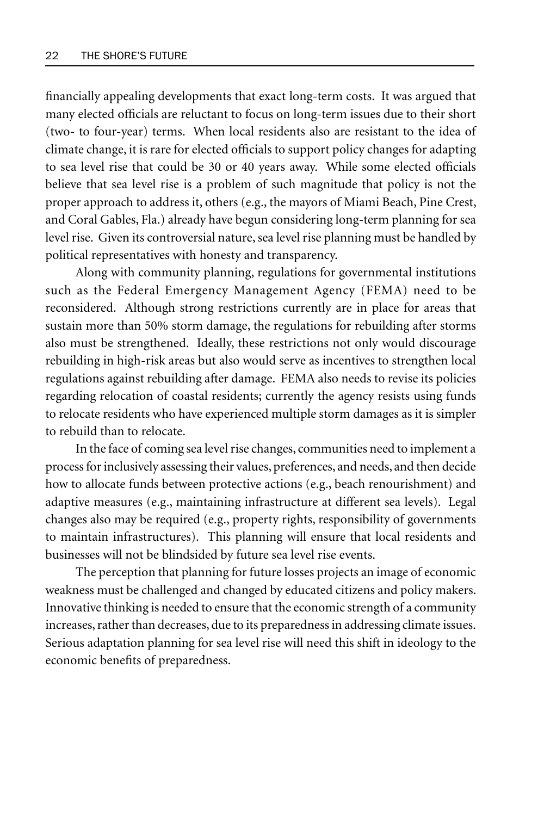financially appealing developments that exact long-term costs. It was argued that many elected officials are reluctant to focus on long-term issues due to their short (two- to four-year) terms. When local residents also are resistant to the idea of climate change, it is rare for elected officials to support policy changes for adapting to sea level rise that could be 30 or 40 years away. While some elected officials believe that sea level rise is a problem of such magnitude that policy is not the proper approach to address it, others (e.g., the mayors of Miami Beach, Pine Crest, and Coral Gables, Fla.) already have begun considering long-term planning for sea level rise. Given its controversial nature, sea level rise planning must be handled by political representatives with honesty and transparency.

Along with community planning, regulations for governmental institutions such as the Federal Emergency Management Agency (FEMA) need to be reconsidered. Although strong restrictions currently are in place for areas that sustain more than 50% storm damage, the regulations for rebuilding after storms also must be strengthened. Ideally, these restrictions not only would discourage rebuilding in high-risk areas but also would serve as incentives to strengthen local regulations against rebuilding after damage. FEMA also needs to revise its policies regarding relocation of coastal residents; currently the agency resists using funds to relocate residents who have experienced multiple storm damages as it is simpler to rebuild than to relocate.

In the face of coming sea level rise changes, communities need to implement a process for inclusively assessing their values, preferences, and needs, and then decide how to allocate funds between protective actions (e.g., beach renourishment) and adaptive measures (e.g., maintaining infrastructure at different sea levels). Legal changes also may be required (e.g., property rights, responsibility of governments to maintain infrastructures). This planning will ensure that local residents and businesses will not be blindsided by future sea level rise events.

The perception that planning for future losses projects an image of economic weakness must be challenged and changed by educated citizens and policy makers. Innovative thinking is needed to ensure that the economic strength of a community increases, rather than decreases, due to its preparedness in addressing climate issues. Serious adaptation planning for sea level rise will need this shift in ideology to the economic benefits of preparedness.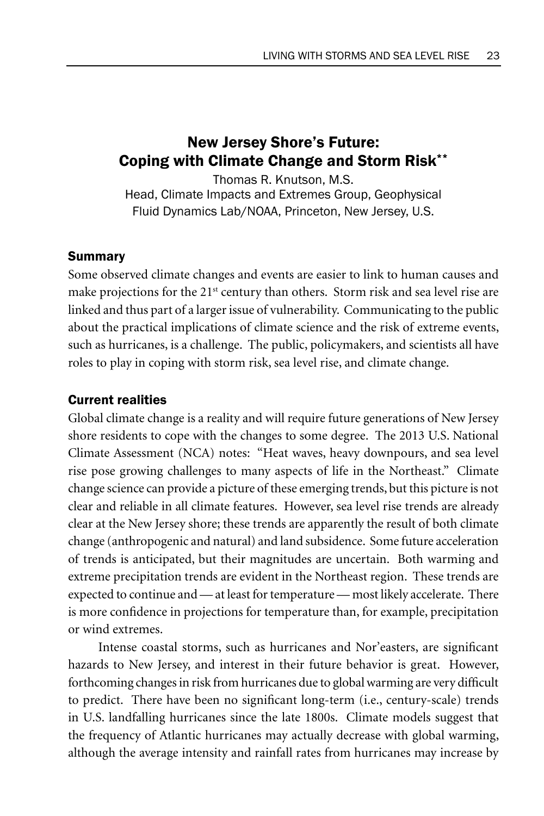# New Jersey Shore's Future: Coping with Climate Change and Storm Risk\*\*

Thomas R. Knutson, M.S. Head, Climate Impacts and Extremes Group, Geophysical Fluid Dynamics Lab/NOAA, Princeton, New Jersey, U.S.

## Summary

Some observed climate changes and events are easier to link to human causes and make projections for the  $21<sup>st</sup>$  century than others. Storm risk and sea level rise are linked and thus part of a larger issue of vulnerability. Communicating to the public about the practical implications of climate science and the risk of extreme events, such as hurricanes, is a challenge. The public, policymakers, and scientists all have roles to play in coping with storm risk, sea level rise, and climate change.

## Current realities

Global climate change is a reality and will require future generations of New Jersey shore residents to cope with the changes to some degree. The 2013 U.S. National Climate Assessment (NCA) notes: "Heat waves, heavy downpours, and sea level rise pose growing challenges to many aspects of life in the Northeast." Climate change science can provide a picture of these emerging trends, but this picture is not clear and reliable in all climate features. However, sea level rise trends are already clear at the New Jersey shore; these trends are apparently the result of both climate change (anthropogenic and natural) and land subsidence. Some future acceleration of trends is anticipated, but their magnitudes are uncertain. Both warming and extreme precipitation trends are evident in the Northeast region. These trends are expected to continue and — at least for temperature — most likely accelerate. There is more confidence in projections for temperature than, for example, precipitation or wind extremes.

Intense coastal storms, such as hurricanes and Nor'easters, are significant hazards to New Jersey, and interest in their future behavior is great. However, forthcoming changes in risk from hurricanes due to global warming are very difficult to predict. There have been no significant long-term (i.e., century-scale) trends in U.S. landfalling hurricanes since the late 1800s. Climate models suggest that the frequency of Atlantic hurricanes may actually decrease with global warming, although the average intensity and rainfall rates from hurricanes may increase by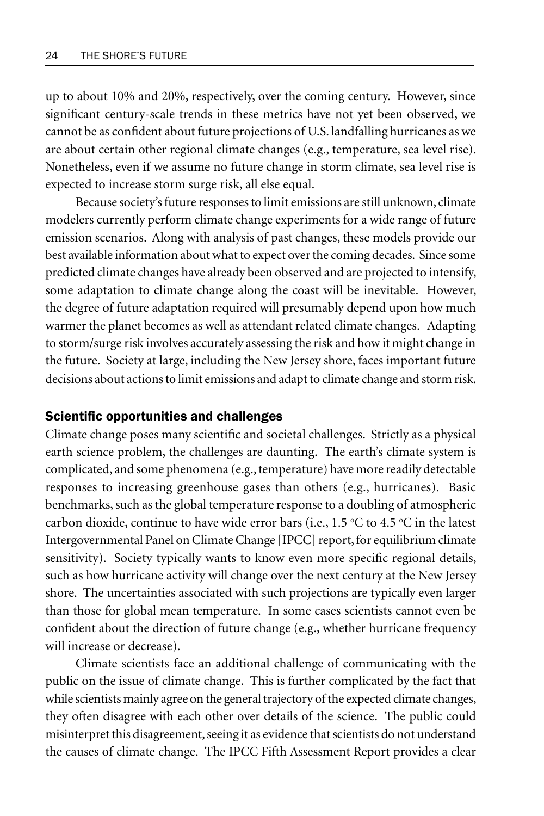up to about 10% and 20%, respectively, over the coming century. However, since significant century-scale trends in these metrics have not yet been observed, we cannot be as confident about future projections of U.S. landfalling hurricanes as we are about certain other regional climate changes (e.g., temperature, sea level rise). Nonetheless, even if we assume no future change in storm climate, sea level rise is expected to increase storm surge risk, all else equal.

Because society's future responses to limit emissions are still unknown, climate modelers currently perform climate change experiments for a wide range of future emission scenarios. Along with analysis of past changes, these models provide our best available information about what to expect over the coming decades. Since some predicted climate changes have already been observed and are projected to intensify, some adaptation to climate change along the coast will be inevitable. However, the degree of future adaptation required will presumably depend upon how much warmer the planet becomes as well as attendant related climate changes. Adapting to storm/surge risk involves accurately assessing the risk and how it might change in the future. Society at large, including the New Jersey shore, faces important future decisions about actions to limit emissions and adapt to climate change and storm risk.

#### Scientifc opportunities and challenges

Climate change poses many scientific and societal challenges. Strictly as a physical earth science problem, the challenges are daunting. The earth's climate system is complicated, and some phenomena (e.g., temperature) have more readily detectable responses to increasing greenhouse gases than others (e.g., hurricanes). Basic benchmarks, such as the global temperature response to a doubling of atmospheric carbon dioxide, continue to have wide error bars (i.e., 1.5 °C to 4.5 °C in the latest Intergovernmental Panel on Climate Change [IPCC] report, for equilibrium climate sensitivity). Society typically wants to know even more specific regional details, such as how hurricane activity will change over the next century at the New Jersey shore. The uncertainties associated with such projections are typically even larger than those for global mean temperature. In some cases scientists cannot even be confident about the direction of future change (e.g., whether hurricane frequency will increase or decrease).

Climate scientists face an additional challenge of communicating with the public on the issue of climate change. This is further complicated by the fact that while scientists mainly agree on the general trajectory of the expected climate changes, they often disagree with each other over details of the science. The public could misinterpret this disagreement, seeing it as evidence that scientists do not understand the causes of climate change. The IPCC Fifth Assessment Report provides a clear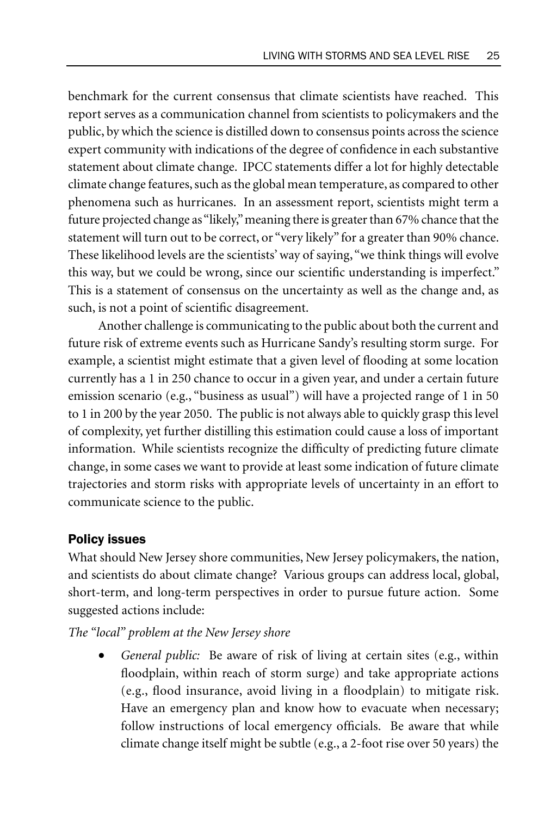benchmark for the current consensus that climate scientists have reached. This report serves as a communication channel from scientists to policymakers and the public, by which the science is distilled down to consensus points across the science expert community with indications of the degree of confidence in each substantive statement about climate change. IPCC statements differ a lot for highly detectable climate change features, such as the global mean temperature, as compared to other phenomena such as hurricanes. In an assessment report, scientists might term a future projected change as "likely," meaning there is greater than 67% chance that the statement will turn out to be correct, or "very likely" for a greater than 90% chance. These likelihood levels are the scientists' way of saying, "we think things will evolve this way, but we could be wrong, since our scientific understanding is imperfect." This is a statement of consensus on the uncertainty as well as the change and, as such, is not a point of scientific disagreement.

Another challenge is communicating to the public about both the current and future risk of extreme events such as Hurricane Sandy's resulting storm surge. For example, a scientist might estimate that a given level of flooding at some location currently has a 1 in 250 chance to occur in a given year, and under a certain future emission scenario (e.g., "business as usual") will have a projected range of 1 in 50 to 1 in 200 by the year 2050. The public is not always able to quickly grasp this level of complexity, yet further distilling this estimation could cause a loss of important information. While scientists recognize the difficulty of predicting future climate change, in some cases we want to provide at least some indication of future climate trajectories and storm risks with appropriate levels of uncertainty in an effort to communicate science to the public.

## Policy issues

What should New Jersey shore communities, New Jersey policymakers, the nation, and scientists do about climate change? Various groups can address local, global, short-term, and long-term perspectives in order to pursue future action. Some suggested actions include:

*The "local" problem at the New Jersey shore*

• *General public:* Be aware of risk of living at certain sites (e.g., within floodplain, within reach of storm surge) and take appropriate actions (e.g., flood insurance, avoid living in a floodplain) to mitigate risk. Have an emergency plan and know how to evacuate when necessary; follow instructions of local emergency officials. Be aware that while climate change itself might be subtle (e.g., a 2-foot rise over 50 years) the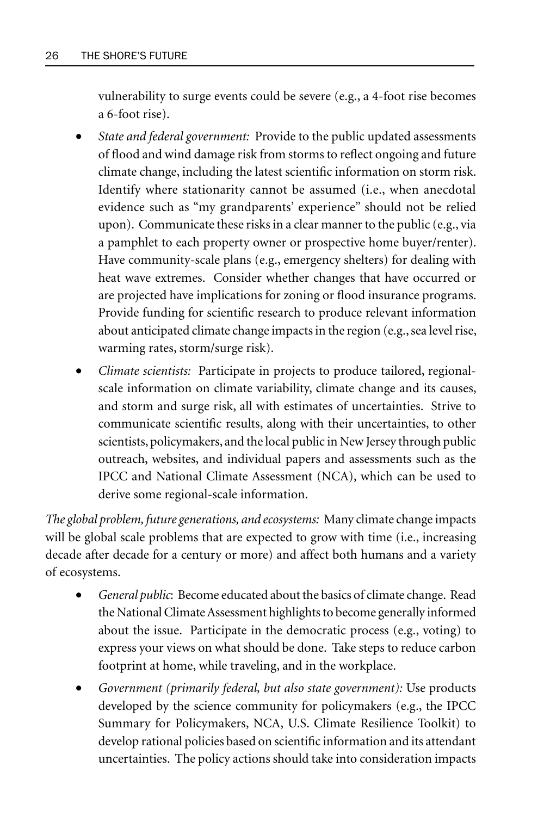vulnerability to surge events could be severe (e.g., a 4-foot rise becomes a 6-foot rise).

- *State and federal government:* Provide to the public updated assessments of flood and wind damage risk from storms to reflect ongoing and future climate change, including the latest scientific information on storm risk. Identify where stationarity cannot be assumed (i.e., when anecdotal evidence such as "my grandparents' experience" should not be relied upon). Communicate these risks in a clear manner to the public (e.g., via a pamphlet to each property owner or prospective home buyer/renter). Have community-scale plans (e.g., emergency shelters) for dealing with heat wave extremes. Consider whether changes that have occurred or are projected have implications for zoning or flood insurance programs. Provide funding for scientific research to produce relevant information about anticipated climate change impacts in the region (e.g., sea level rise, warming rates, storm/surge risk).
- *Climate scientists:* Participate in projects to produce tailored, regionalscale information on climate variability, climate change and its causes, and storm and surge risk, all with estimates of uncertainties. Strive to communicate scientific results, along with their uncertainties, to other scientists, policymakers, and the local public in New Jersey through public outreach, websites, and individual papers and assessments such as the IPCC and National Climate Assessment (NCA), which can be used to derive some regional-scale information.

*The global problem, future generations, and ecosystems:* Many climate change impacts will be global scale problems that are expected to grow with time (i.e., increasing decade after decade for a century or more) and affect both humans and a variety of ecosystems.

- *General public*: Become educated about the basics of climate change. Read the National Climate Assessment highlights to become generally informed about the issue. Participate in the democratic process (e.g., voting) to express your views on what should be done. Take steps to reduce carbon footprint at home, while traveling, and in the workplace.
- *Government (primarily federal, but also state government):* Use products developed by the science community for policymakers (e.g., the IPCC Summary for Policymakers, NCA, U.S. Climate Resilience Toolkit) to develop rational policies based on scientific information and its attendant uncertainties. The policy actions should take into consideration impacts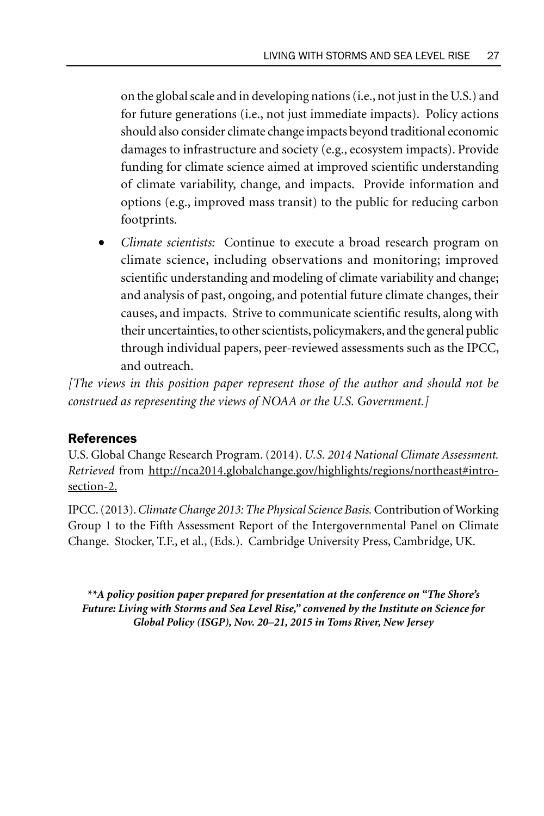on the global scale and in developing nations (i.e., not just in the U.S.) and for future generations (i.e., not just immediate impacts). Policy actions should also consider climate change impacts beyond traditional economic damages to infrastructure and society (e.g., ecosystem impacts). Provide funding for climate science aimed at improved scientific understanding of climate variability, change, and impacts. Provide information and options (e.g., improved mass transit) to the public for reducing carbon footprints.

• *Climate scientists:* Continue to execute a broad research program on climate science, including observations and monitoring; improved scientific understanding and modeling of climate variability and change; and analysis of past, ongoing, and potential future climate changes, their causes, and impacts. Strive to communicate scientific results, along with their uncertainties, to other scientists, policymakers, and the general public through individual papers, peer-reviewed assessments such as the IPCC, and outreach.

*[The views in this position paper represent those of the author and should not be construed as representing the views of NOAA or the U.S. Government.]*

## References

U.S. Global Change Research Program. (2014). *U.S. 2014 National Climate Assessment. Retrieved* from http://nca2014.globalchange.gov/highlights/regions/northeast#introsection-2.

IPCC. (2013). *Climate Change 2013: The Physical Science Basis.* Contribution of Working Group 1 to the Fifth Assessment Report of the Intergovernmental Panel on Climate Change. Stocker, T.F., et al., (Eds.). Cambridge University Press, Cambridge, UK.

*\*\*A policy position paper prepared for presentation at the conference on "The Shore's Future: Living with Storms and Sea Level Rise," convened by the Institute on Science for Global Policy (ISGP), Nov. 20–21, 2015 in Toms River, New Jersey*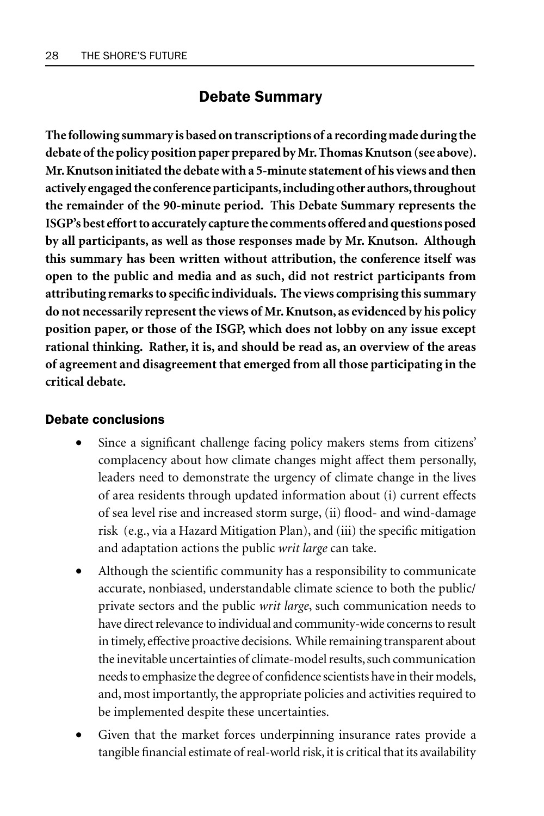# Debate Summary

**The following summary is based on transcriptions of a recording made during the debate of the policy position paper prepared by Mr. Thomas Knutson (see above). Mr. Knutson initiated the debate with a 5-minute statement of his views and then actively engaged the conference participants, including other authors, throughout the remainder of the 90-minute period. This Debate Summary represents the ISGP's best effort to accurately capture the comments offered and questions posed by all participants, as well as those responses made by Mr. Knutson. Although this summary has been written without attribution, the conference itself was open to the public and media and as such, did not restrict participants from attributing remarks to specific individuals. The views comprising this summary do not necessarily represent the views of Mr. Knutson, as evidenced by his policy position paper, or those of the ISGP, which does not lobby on any issue except rational thinking. Rather, it is, and should be read as, an overview of the areas of agreement and disagreement that emerged from all those participating in the critical debate.**

#### Debate conclusions

- Since a significant challenge facing policy makers stems from citizens' complacency about how climate changes might affect them personally, leaders need to demonstrate the urgency of climate change in the lives of area residents through updated information about (i) current effects of sea level rise and increased storm surge, (ii) flood- and wind-damage risk (e.g., via a Hazard Mitigation Plan), and (iii) the specific mitigation and adaptation actions the public *writ large* can take.
- Although the scientific community has a responsibility to communicate accurate, nonbiased, understandable climate science to both the public/ private sectors and the public *writ large*, such communication needs to have direct relevance to individual and community-wide concerns to result in timely, effective proactive decisions. While remaining transparent about the inevitable uncertainties of climate-model results, such communication needs to emphasize the degree of confidence scientists have in their models, and, most importantly, the appropriate policies and activities required to be implemented despite these uncertainties.
- Given that the market forces underpinning insurance rates provide a tangible financial estimate of real-world risk, it is critical that its availability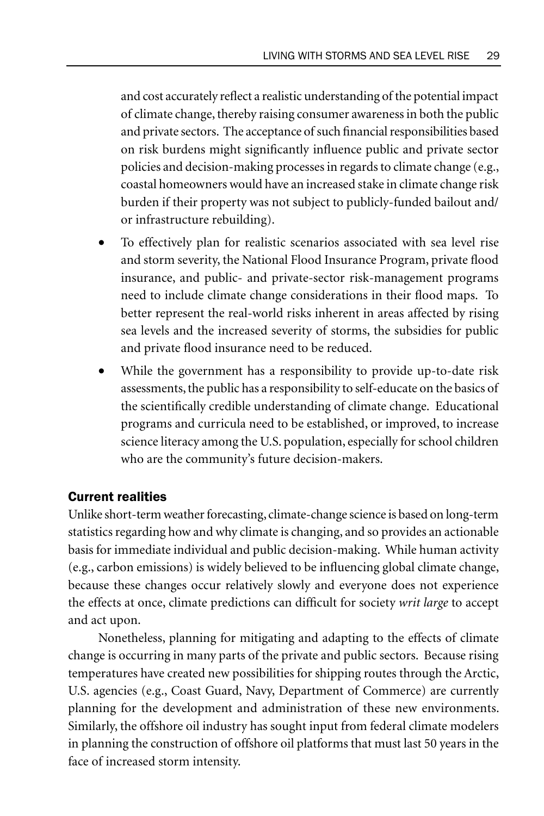and cost accurately reflect a realistic understanding of the potential impact of climate change, thereby raising consumer awareness in both the public and private sectors. The acceptance of such financial responsibilities based on risk burdens might significantly influence public and private sector policies and decision-making processes in regards to climate change (e.g., coastal homeowners would have an increased stake in climate change risk burden if their property was not subject to publicly-funded bailout and/ or infrastructure rebuilding).

- To effectively plan for realistic scenarios associated with sea level rise and storm severity, the National Flood Insurance Program, private flood insurance, and public- and private-sector risk-management programs need to include climate change considerations in their flood maps. To better represent the real-world risks inherent in areas affected by rising sea levels and the increased severity of storms, the subsidies for public and private flood insurance need to be reduced.
- While the government has a responsibility to provide up-to-date risk assessments, the public has a responsibility to self-educate on the basics of the scientifically credible understanding of climate change. Educational programs and curricula need to be established, or improved, to increase science literacy among the U.S. population, especially for school children who are the community's future decision-makers.

## Current realities

Unlike short-term weather forecasting, climate-change science is based on long-term statistics regarding how and why climate is changing, and so provides an actionable basis for immediate individual and public decision-making. While human activity (e.g., carbon emissions) is widely believed to be influencing global climate change, because these changes occur relatively slowly and everyone does not experience the effects at once, climate predictions can difficult for society *writ large* to accept and act upon.

Nonetheless, planning for mitigating and adapting to the effects of climate change is occurring in many parts of the private and public sectors. Because rising temperatures have created new possibilities for shipping routes through the Arctic, U.S. agencies (e.g., Coast Guard, Navy, Department of Commerce) are currently planning for the development and administration of these new environments. Similarly, the offshore oil industry has sought input from federal climate modelers in planning the construction of offshore oil platforms that must last 50 years in the face of increased storm intensity.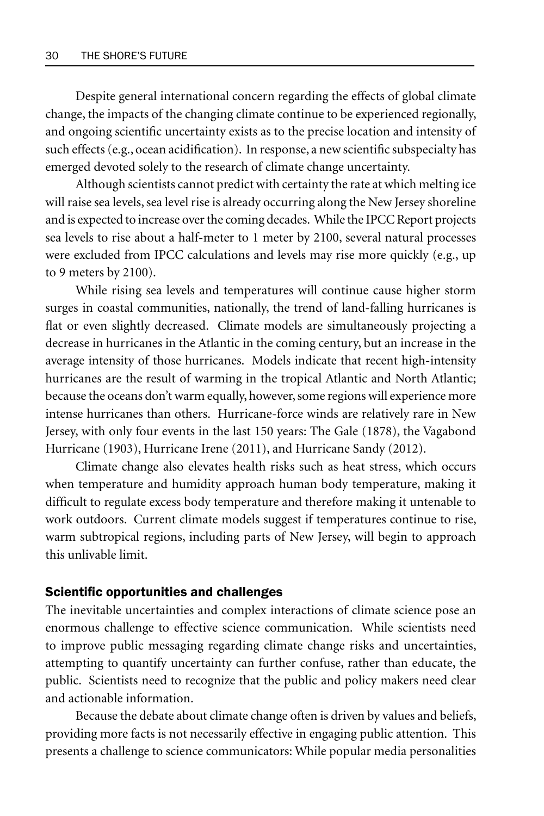Despite general international concern regarding the effects of global climate change, the impacts of the changing climate continue to be experienced regionally, and ongoing scientific uncertainty exists as to the precise location and intensity of such effects (e.g., ocean acidification). In response, a new scientific subspecialty has emerged devoted solely to the research of climate change uncertainty.

Although scientists cannot predict with certainty the rate at which melting ice will raise sea levels, sea level rise is already occurring along the New Jersey shoreline and is expected to increase over the coming decades. While the IPCC Report projects sea levels to rise about a half-meter to 1 meter by 2100, several natural processes were excluded from IPCC calculations and levels may rise more quickly (e.g., up to 9 meters by 2100).

While rising sea levels and temperatures will continue cause higher storm surges in coastal communities, nationally, the trend of land-falling hurricanes is flat or even slightly decreased. Climate models are simultaneously projecting a decrease in hurricanes in the Atlantic in the coming century, but an increase in the average intensity of those hurricanes. Models indicate that recent high-intensity hurricanes are the result of warming in the tropical Atlantic and North Atlantic; because the oceans don't warm equally, however, some regions will experience more intense hurricanes than others. Hurricane-force winds are relatively rare in New Jersey, with only four events in the last 150 years: The Gale (1878), the Vagabond Hurricane (1903), Hurricane Irene (2011), and Hurricane Sandy (2012).

Climate change also elevates health risks such as heat stress, which occurs when temperature and humidity approach human body temperature, making it difficult to regulate excess body temperature and therefore making it untenable to work outdoors. Current climate models suggest if temperatures continue to rise, warm subtropical regions, including parts of New Jersey, will begin to approach this unlivable limit.

#### Scientific opportunities and challenges

The inevitable uncertainties and complex interactions of climate science pose an enormous challenge to effective science communication. While scientists need to improve public messaging regarding climate change risks and uncertainties, attempting to quantify uncertainty can further confuse, rather than educate, the public. Scientists need to recognize that the public and policy makers need clear and actionable information.

Because the debate about climate change often is driven by values and beliefs, providing more facts is not necessarily effective in engaging public attention. This presents a challenge to science communicators: While popular media personalities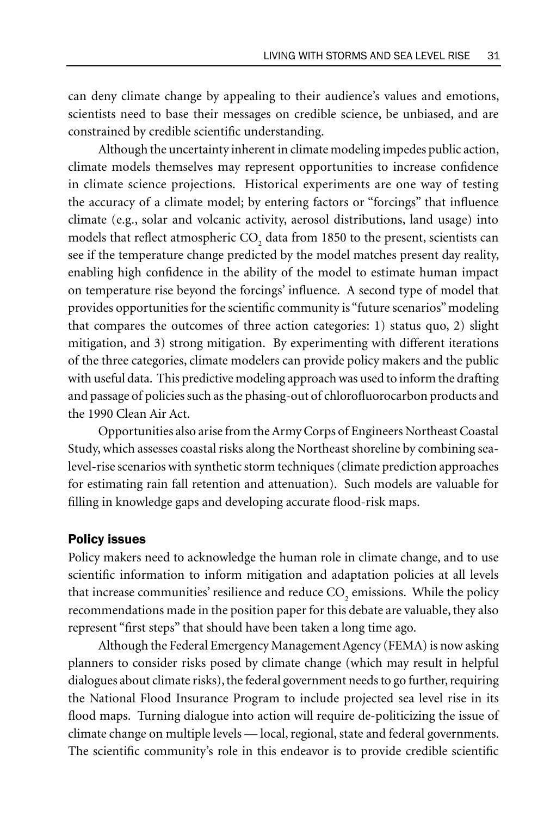can deny climate change by appealing to their audience's values and emotions, scientists need to base their messages on credible science, be unbiased, and are constrained by credible scientific understanding.

Although the uncertainty inherent in climate modeling impedes public action, climate models themselves may represent opportunities to increase confidence in climate science projections. Historical experiments are one way of testing the accuracy of a climate model; by entering factors or "forcings" that influence climate (e.g., solar and volcanic activity, aerosol distributions, land usage) into models that reflect atmospheric  $\mathrm{CO}_2$  data from 1850 to the present, scientists can see if the temperature change predicted by the model matches present day reality, enabling high confidence in the ability of the model to estimate human impact on temperature rise beyond the forcings' influence. A second type of model that provides opportunities for the scientific community is "future scenarios" modeling that compares the outcomes of three action categories: 1) status quo, 2) slight mitigation, and 3) strong mitigation. By experimenting with different iterations of the three categories, climate modelers can provide policy makers and the public with useful data. This predictive modeling approach was used to inform the drafting and passage of policies such as the phasing-out of chlorofluorocarbon products and the 1990 Clean Air Act.

Opportunities also arise from the Army Corps of Engineers Northeast Coastal Study, which assesses coastal risks along the Northeast shoreline by combining sealevel-rise scenarios with synthetic storm techniques (climate prediction approaches for estimating rain fall retention and attenuation). Such models are valuable for filling in knowledge gaps and developing accurate flood-risk maps.

#### Policy issues

Policy makers need to acknowledge the human role in climate change, and to use scientific information to inform mitigation and adaptation policies at all levels that increase communities' resilience and reduce  $\mathrm{CO}_2$  emissions. While the policy recommendations made in the position paper for this debate are valuable, they also represent "first steps" that should have been taken a long time ago.

Although the Federal Emergency Management Agency (FEMA) is now asking planners to consider risks posed by climate change (which may result in helpful dialogues about climate risks), the federal government needs to go further, requiring the National Flood Insurance Program to include projected sea level rise in its flood maps. Turning dialogue into action will require de-politicizing the issue of climate change on multiple levels — local, regional, state and federal governments. The scientific community's role in this endeavor is to provide credible scientific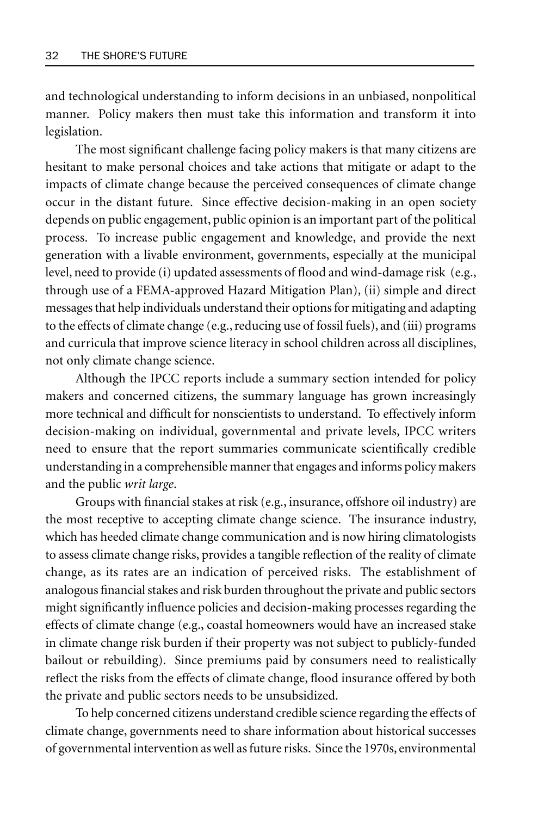and technological understanding to inform decisions in an unbiased, nonpolitical manner. Policy makers then must take this information and transform it into legislation.

The most significant challenge facing policy makers is that many citizens are hesitant to make personal choices and take actions that mitigate or adapt to the impacts of climate change because the perceived consequences of climate change occur in the distant future. Since effective decision-making in an open society depends on public engagement, public opinion is an important part of the political process. To increase public engagement and knowledge, and provide the next generation with a livable environment, governments, especially at the municipal level, need to provide (i) updated assessments of flood and wind-damage risk (e.g., through use of a FEMA-approved Hazard Mitigation Plan), (ii) simple and direct messages that help individuals understand their options for mitigating and adapting to the effects of climate change (e.g., reducing use of fossil fuels), and (iii) programs and curricula that improve science literacy in school children across all disciplines, not only climate change science.

Although the IPCC reports include a summary section intended for policy makers and concerned citizens, the summary language has grown increasingly more technical and difficult for nonscientists to understand. To effectively inform decision-making on individual, governmental and private levels, IPCC writers need to ensure that the report summaries communicate scientifically credible understanding in a comprehensible manner that engages and informs policy makers and the public *writ large*.

Groups with financial stakes at risk (e.g., insurance, offshore oil industry) are the most receptive to accepting climate change science. The insurance industry, which has heeded climate change communication and is now hiring climatologists to assess climate change risks, provides a tangible reflection of the reality of climate change, as its rates are an indication of perceived risks. The establishment of analogous financial stakes and risk burden throughout the private and public sectors might significantly influence policies and decision-making processes regarding the effects of climate change (e.g., coastal homeowners would have an increased stake in climate change risk burden if their property was not subject to publicly-funded bailout or rebuilding). Since premiums paid by consumers need to realistically reflect the risks from the effects of climate change, flood insurance offered by both the private and public sectors needs to be unsubsidized.

To help concerned citizens understand credible science regarding the effects of climate change, governments need to share information about historical successes of governmental intervention as well as future risks. Since the 1970s, environmental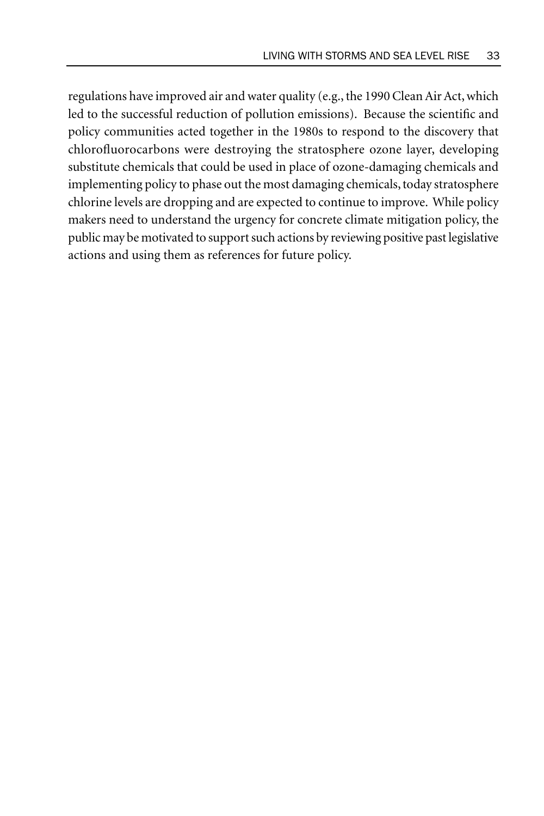regulations have improved air and water quality (e.g., the 1990 Clean Air Act, which led to the successful reduction of pollution emissions). Because the scientific and policy communities acted together in the 1980s to respond to the discovery that chlorofluorocarbons were destroying the stratosphere ozone layer, developing substitute chemicals that could be used in place of ozone-damaging chemicals and implementing policy to phase out the most damaging chemicals, today stratosphere chlorine levels are dropping and are expected to continue to improve. While policy makers need to understand the urgency for concrete climate mitigation policy, the public may be motivated to support such actions by reviewing positive past legislative actions and using them as references for future policy.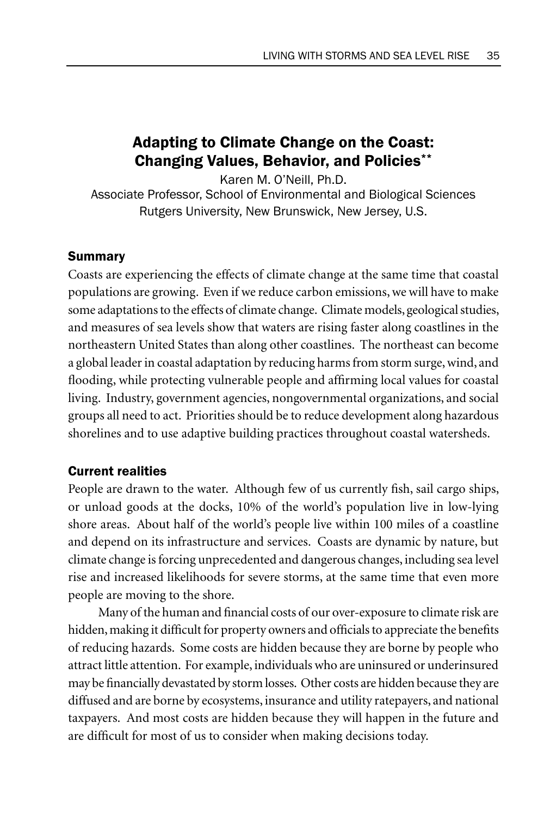# Adapting to Climate Change on the Coast: Changing Values, Behavior, and Policies\*\*

Karen M. O'Neill, Ph.D. Associate Professor, School of Environmental and Biological Sciences Rutgers University, New Brunswick, New Jersey, U.S.

## Summary

Coasts are experiencing the effects of climate change at the same time that coastal populations are growing. Even if we reduce carbon emissions, we will have to make some adaptations to the effects of climate change. Climate models, geological studies, and measures of sea levels show that waters are rising faster along coastlines in the northeastern United States than along other coastlines. The northeast can become a global leader in coastal adaptation by reducing harms from storm surge, wind, and flooding, while protecting vulnerable people and affirming local values for coastal living. Industry, government agencies, nongovernmental organizations, and social groups all need to act. Priorities should be to reduce development along hazardous shorelines and to use adaptive building practices throughout coastal watersheds.

## Current realities

People are drawn to the water. Although few of us currently fish, sail cargo ships, or unload goods at the docks, 10% of the world's population live in low-lying shore areas. About half of the world's people live within 100 miles of a coastline and depend on its infrastructure and services. Coasts are dynamic by nature, but climate change is forcing unprecedented and dangerous changes, including sea level rise and increased likelihoods for severe storms, at the same time that even more people are moving to the shore.

Many of the human and financial costs of our over-exposure to climate risk are hidden, making it difficult for property owners and officials to appreciate the benefits of reducing hazards. Some costs are hidden because they are borne by people who attract little attention. For example, individuals who are uninsured or underinsured may be financially devastated by storm losses. Other costs are hidden because they are diffused and are borne by ecosystems, insurance and utility ratepayers, and national taxpayers. And most costs are hidden because they will happen in the future and are difficult for most of us to consider when making decisions today.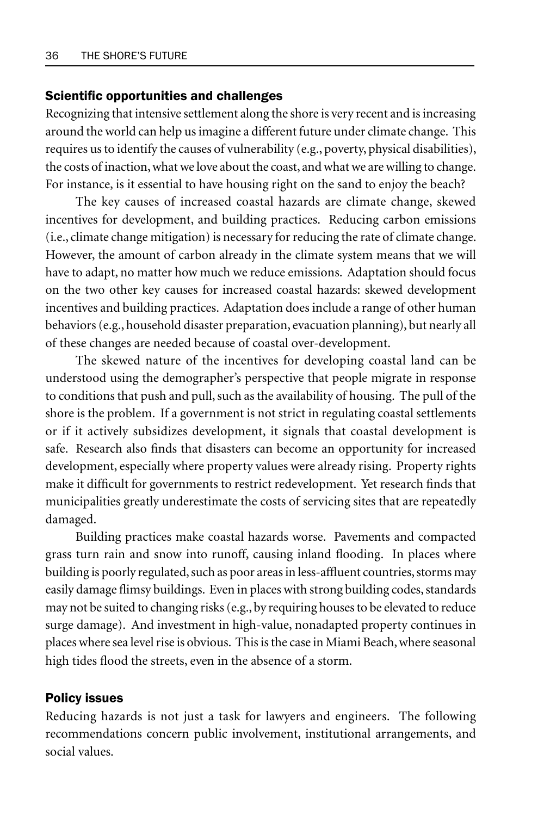#### Scientific opportunities and challenges

Recognizing that intensive settlement along the shore is very recent and is increasing around the world can help us imagine a different future under climate change. This requires us to identify the causes of vulnerability (e.g., poverty, physical disabilities), the costs of inaction, what we love about the coast, and what we are willing to change. For instance, is it essential to have housing right on the sand to enjoy the beach?

The key causes of increased coastal hazards are climate change, skewed incentives for development, and building practices. Reducing carbon emissions (i.e., climate change mitigation) is necessary for reducing the rate of climate change. However, the amount of carbon already in the climate system means that we will have to adapt, no matter how much we reduce emissions. Adaptation should focus on the two other key causes for increased coastal hazards: skewed development incentives and building practices. Adaptation does include a range of other human behaviors (e.g., household disaster preparation, evacuation planning), but nearly all of these changes are needed because of coastal over-development.

The skewed nature of the incentives for developing coastal land can be understood using the demographer's perspective that people migrate in response to conditions that push and pull, such as the availability of housing. The pull of the shore is the problem. If a government is not strict in regulating coastal settlements or if it actively subsidizes development, it signals that coastal development is safe. Research also finds that disasters can become an opportunity for increased development, especially where property values were already rising. Property rights make it difficult for governments to restrict redevelopment. Yet research finds that municipalities greatly underestimate the costs of servicing sites that are repeatedly damaged.

Building practices make coastal hazards worse. Pavements and compacted grass turn rain and snow into runoff, causing inland flooding. In places where building is poorly regulated, such as poor areas in less-affluent countries, storms may easily damage flimsy buildings. Even in places with strong building codes, standards may not be suited to changing risks (e.g., by requiring houses to be elevated to reduce surge damage). And investment in high-value, nonadapted property continues in places where sea level rise is obvious. This is the case in Miami Beach, where seasonal high tides flood the streets, even in the absence of a storm.

#### Policy issues

Reducing hazards is not just a task for lawyers and engineers. The following recommendations concern public involvement, institutional arrangements, and social values.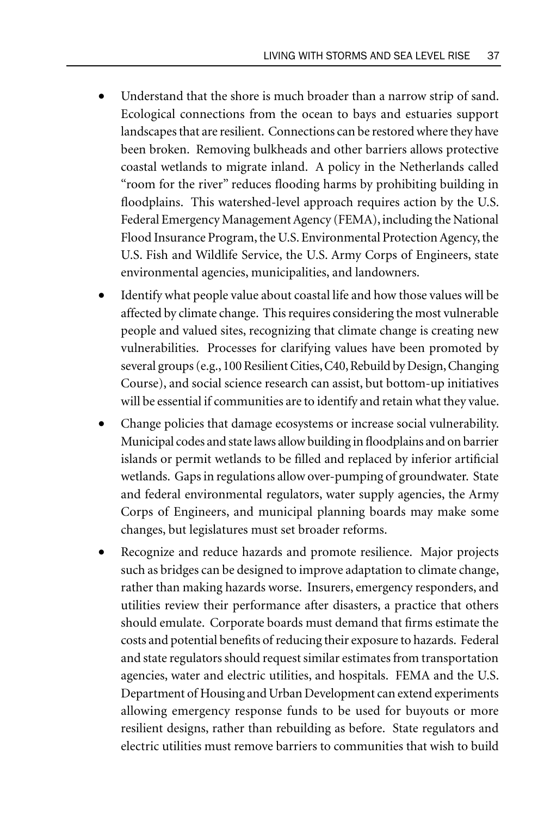- Understand that the shore is much broader than a narrow strip of sand. Ecological connections from the ocean to bays and estuaries support landscapes that are resilient. Connections can be restored where they have been broken. Removing bulkheads and other barriers allows protective coastal wetlands to migrate inland. A policy in the Netherlands called "room for the river" reduces flooding harms by prohibiting building in floodplains. This watershed-level approach requires action by the U.S. Federal Emergency Management Agency (FEMA), including the National Flood Insurance Program, the U.S. Environmental Protection Agency, the U.S. Fish and Wildlife Service, the U.S. Army Corps of Engineers, state environmental agencies, municipalities, and landowners.
- Identify what people value about coastal life and how those values will be affected by climate change. This requires considering the most vulnerable people and valued sites, recognizing that climate change is creating new vulnerabilities. Processes for clarifying values have been promoted by several groups (e.g., 100 Resilient Cities, C40, Rebuild by Design, Changing Course), and social science research can assist, but bottom-up initiatives will be essential if communities are to identify and retain what they value.
- Change policies that damage ecosystems or increase social vulnerability. Municipal codes and state laws allow building in floodplains and on barrier islands or permit wetlands to be filled and replaced by inferior artificial wetlands. Gaps in regulations allow over-pumping of groundwater. State and federal environmental regulators, water supply agencies, the Army Corps of Engineers, and municipal planning boards may make some changes, but legislatures must set broader reforms.
- Recognize and reduce hazards and promote resilience. Major projects such as bridges can be designed to improve adaptation to climate change, rather than making hazards worse. Insurers, emergency responders, and utilities review their performance after disasters, a practice that others should emulate. Corporate boards must demand that firms estimate the costs and potential benefits of reducing their exposure to hazards. Federal and state regulators should request similar estimates from transportation agencies, water and electric utilities, and hospitals. FEMA and the U.S. Department of Housing and Urban Development can extend experiments allowing emergency response funds to be used for buyouts or more resilient designs, rather than rebuilding as before. State regulators and electric utilities must remove barriers to communities that wish to build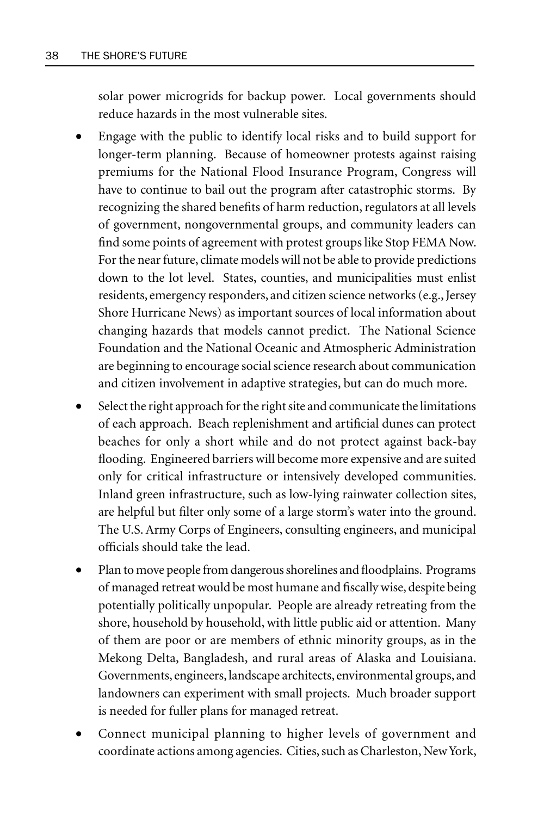solar power microgrids for backup power. Local governments should reduce hazards in the most vulnerable sites.

- Engage with the public to identify local risks and to build support for longer-term planning. Because of homeowner protests against raising premiums for the National Flood Insurance Program, Congress will have to continue to bail out the program after catastrophic storms. By recognizing the shared benefits of harm reduction, regulators at all levels of government, nongovernmental groups, and community leaders can find some points of agreement with protest groups like Stop FEMA Now. For the near future, climate models will not be able to provide predictions down to the lot level. States, counties, and municipalities must enlist residents, emergency responders, and citizen science networks (e.g., Jersey Shore Hurricane News) as important sources of local information about changing hazards that models cannot predict. The National Science Foundation and the National Oceanic and Atmospheric Administration are beginning to encourage social science research about communication and citizen involvement in adaptive strategies, but can do much more.
- Select the right approach for the right site and communicate the limitations of each approach. Beach replenishment and artificial dunes can protect beaches for only a short while and do not protect against back-bay flooding. Engineered barriers will become more expensive and are suited only for critical infrastructure or intensively developed communities. Inland green infrastructure, such as low-lying rainwater collection sites, are helpful but filter only some of a large storm's water into the ground. The U.S. Army Corps of Engineers, consulting engineers, and municipal officials should take the lead.
- Plan to move people from dangerous shorelines and floodplains. Programs of managed retreat would be most humane and fiscally wise, despite being potentially politically unpopular. People are already retreating from the shore, household by household, with little public aid or attention. Many of them are poor or are members of ethnic minority groups, as in the Mekong Delta, Bangladesh, and rural areas of Alaska and Louisiana. Governments, engineers, landscape architects, environmental groups, and landowners can experiment with small projects. Much broader support is needed for fuller plans for managed retreat.
- Connect municipal planning to higher levels of government and coordinate actions among agencies. Cities, such as Charleston, New York,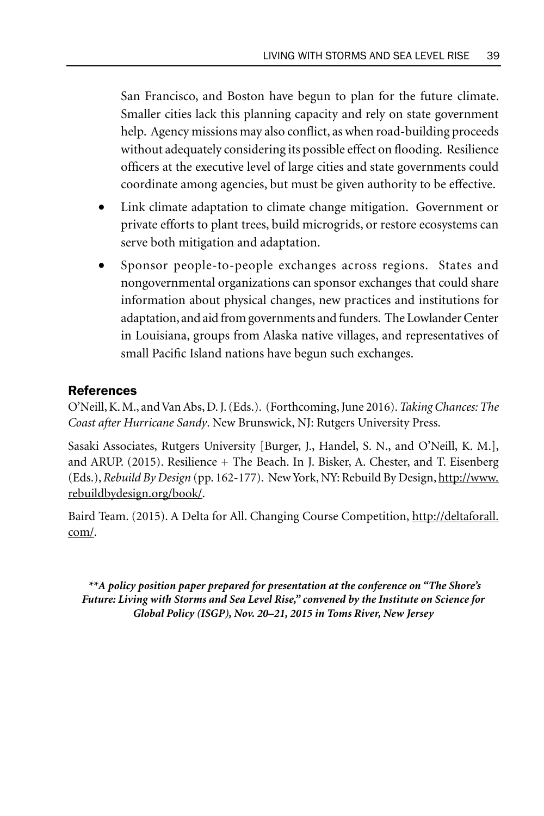San Francisco, and Boston have begun to plan for the future climate. Smaller cities lack this planning capacity and rely on state government help. Agency missions may also conflict, as when road-building proceeds without adequately considering its possible effect on flooding. Resilience officers at the executive level of large cities and state governments could coordinate among agencies, but must be given authority to be effective.

- Link climate adaptation to climate change mitigation. Government or private efforts to plant trees, build microgrids, or restore ecosystems can serve both mitigation and adaptation.
- Sponsor people-to-people exchanges across regions. States and nongovernmental organizations can sponsor exchanges that could share information about physical changes, new practices and institutions for adaptation, and aid from governments and funders. The Lowlander Center in Louisiana, groups from Alaska native villages, and representatives of small Pacific Island nations have begun such exchanges.

## References

O'Neill, K. M., and Van Abs, D. J. (Eds.). (Forthcoming, June 2016). *Taking Chances: The Coast after Hurricane Sandy*. New Brunswick, NJ: Rutgers University Press.

Sasaki Associates, Rutgers University [Burger, J., Handel, S. N., and O'Neill, K. M.], and ARUP. (2015). Resilience + The Beach. In J. Bisker, A. Chester, and T. Eisenberg (Eds.), *Rebuild By Design* (pp. 162-177). New York, NY: Rebuild By Design, http://www. rebuildbydesign.org/book/.

Baird Team. (2015). A Delta for All. Changing Course Competition, http://deltaforall. com/.

 *\*\*A policy position paper prepared for presentation at the conference on "The Shore's Future: Living with Storms and Sea Level Rise," convened by the Institute on Science for Global Policy (ISGP), Nov. 20–21, 2015 in Toms River, New Jersey*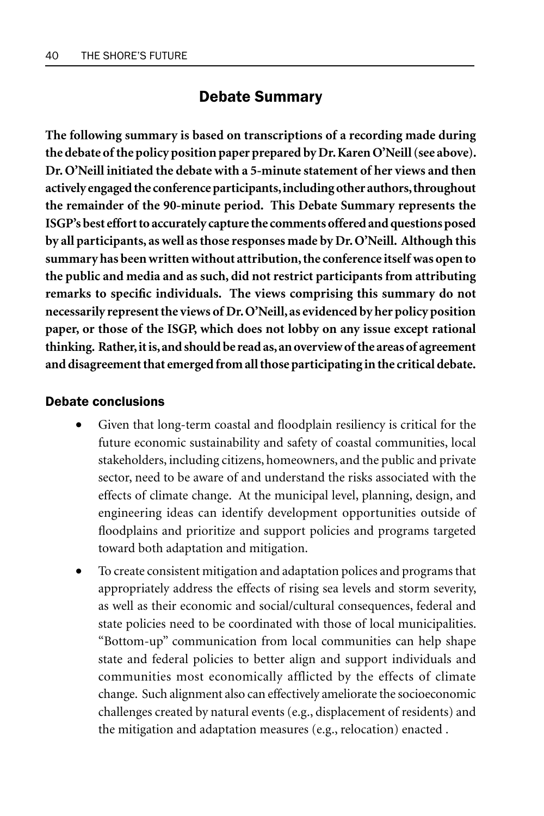## Debate Summary

**The following summary is based on transcriptions of a recording made during the debate of the policy position paper prepared by Dr. Karen O'Neill (see above). Dr. O'Neill initiated the debate with a 5-minute statement of her views and then actively engaged the conference participants, including other authors, throughout the remainder of the 90-minute period. This Debate Summary represents the ISGP's best effort to accurately capture the comments offered and questions posed by all participants, as well as those responses made by Dr. O'Neill. Although this summary has been written without attribution, the conference itself was open to the public and media and as such, did not restrict participants from attributing remarks to specific individuals. The views comprising this summary do not necessarily represent the views of Dr. O'Neill, as evidenced by her policy position paper, or those of the ISGP, which does not lobby on any issue except rational thinking. Rather, it is, and should be read as, an overview of the areas of agreement and disagreement that emerged from all those participating in the critical debate.**

#### Debate conclusions

- Given that long-term coastal and floodplain resiliency is critical for the future economic sustainability and safety of coastal communities, local stakeholders, including citizens, homeowners, and the public and private sector, need to be aware of and understand the risks associated with the effects of climate change. At the municipal level, planning, design, and engineering ideas can identify development opportunities outside of floodplains and prioritize and support policies and programs targeted toward both adaptation and mitigation.
- To create consistent mitigation and adaptation polices and programs that appropriately address the effects of rising sea levels and storm severity, as well as their economic and social/cultural consequences, federal and state policies need to be coordinated with those of local municipalities. "Bottom-up" communication from local communities can help shape state and federal policies to better align and support individuals and communities most economically afflicted by the effects of climate change. Such alignment also can effectively ameliorate the socioeconomic challenges created by natural events (e.g., displacement of residents) and the mitigation and adaptation measures (e.g., relocation) enacted .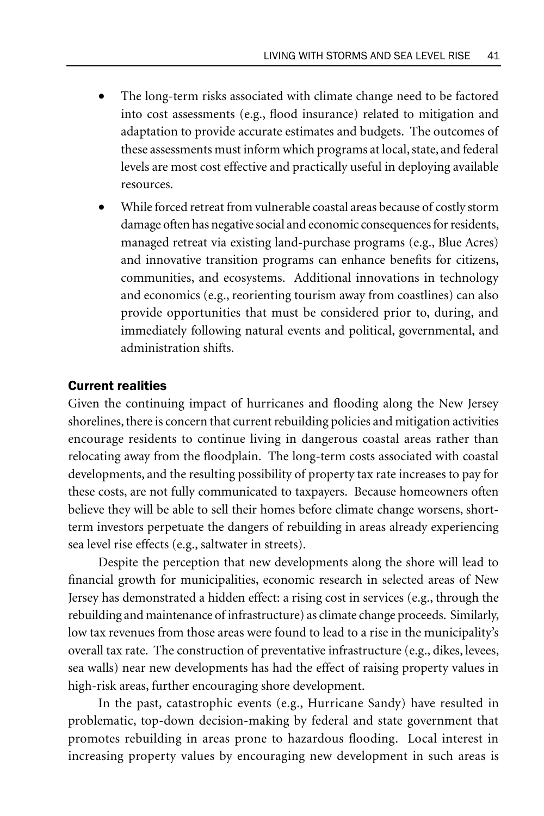- The long-term risks associated with climate change need to be factored into cost assessments (e.g., flood insurance) related to mitigation and adaptation to provide accurate estimates and budgets. The outcomes of these assessments must inform which programs at local, state, and federal levels are most cost effective and practically useful in deploying available resources.
- While forced retreat from vulnerable coastal areas because of costly storm damage often has negative social and economic consequences for residents, managed retreat via existing land-purchase programs (e.g., Blue Acres) and innovative transition programs can enhance benefits for citizens, communities, and ecosystems. Additional innovations in technology and economics (e.g., reorienting tourism away from coastlines) can also provide opportunities that must be considered prior to, during, and immediately following natural events and political, governmental, and administration shifts.

### Current realities

Given the continuing impact of hurricanes and flooding along the New Jersey shorelines, there is concern that current rebuilding policies and mitigation activities encourage residents to continue living in dangerous coastal areas rather than relocating away from the floodplain. The long-term costs associated with coastal developments, and the resulting possibility of property tax rate increases to pay for these costs, are not fully communicated to taxpayers. Because homeowners often believe they will be able to sell their homes before climate change worsens, shortterm investors perpetuate the dangers of rebuilding in areas already experiencing sea level rise effects (e.g., saltwater in streets).

Despite the perception that new developments along the shore will lead to financial growth for municipalities, economic research in selected areas of New Jersey has demonstrated a hidden effect: a rising cost in services (e.g., through the rebuilding and maintenance of infrastructure) as climate change proceeds. Similarly, low tax revenues from those areas were found to lead to a rise in the municipality's overall tax rate. The construction of preventative infrastructure (e.g., dikes, levees, sea walls) near new developments has had the effect of raising property values in high-risk areas, further encouraging shore development.

In the past, catastrophic events (e.g., Hurricane Sandy) have resulted in problematic, top-down decision-making by federal and state government that promotes rebuilding in areas prone to hazardous flooding. Local interest in increasing property values by encouraging new development in such areas is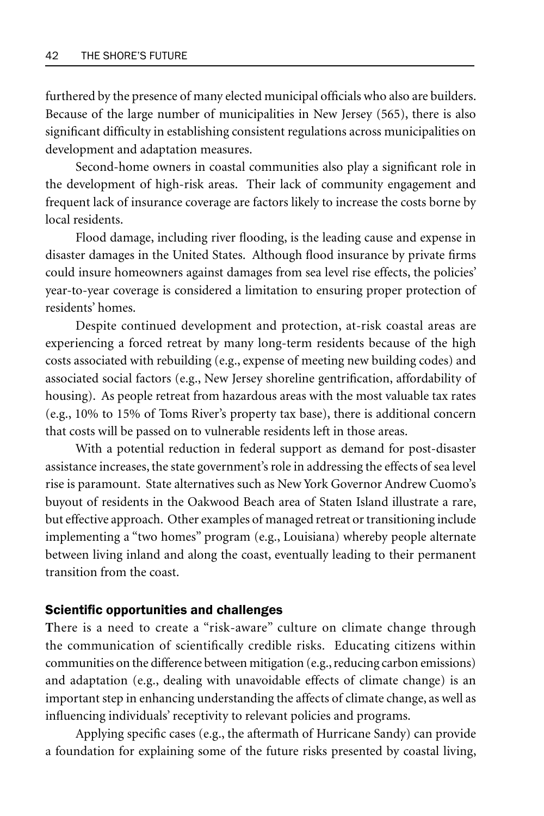furthered by the presence of many elected municipal officials who also are builders. Because of the large number of municipalities in New Jersey (565), there is also significant difficulty in establishing consistent regulations across municipalities on development and adaptation measures.

Second-home owners in coastal communities also play a significant role in the development of high-risk areas. Their lack of community engagement and frequent lack of insurance coverage are factors likely to increase the costs borne by local residents.

Flood damage, including river flooding, is the leading cause and expense in disaster damages in the United States. Although flood insurance by private firms could insure homeowners against damages from sea level rise effects, the policies' year-to-year coverage is considered a limitation to ensuring proper protection of residents' homes.

Despite continued development and protection, at-risk coastal areas are experiencing a forced retreat by many long-term residents because of the high costs associated with rebuilding (e.g., expense of meeting new building codes) and associated social factors (e.g., New Jersey shoreline gentrification, affordability of housing). As people retreat from hazardous areas with the most valuable tax rates (e.g., 10% to 15% of Toms River's property tax base), there is additional concern that costs will be passed on to vulnerable residents left in those areas.

With a potential reduction in federal support as demand for post-disaster assistance increases, the state government's role in addressing the effects of sea level rise is paramount. State alternatives such as New York Governor Andrew Cuomo's buyout of residents in the Oakwood Beach area of Staten Island illustrate a rare, but effective approach. Other examples of managed retreat or transitioning include implementing a "two homes" program (e.g., Louisiana) whereby people alternate between living inland and along the coast, eventually leading to their permanent transition from the coast.

### Scientific opportunities and challenges

**T**here is a need to create a "risk-aware" culture on climate change through the communication of scientifically credible risks. Educating citizens within communities on the difference between mitigation (e.g., reducing carbon emissions) and adaptation (e.g., dealing with unavoidable effects of climate change) is an important step in enhancing understanding the affects of climate change, as well as influencing individuals' receptivity to relevant policies and programs.

Applying specific cases (e.g., the aftermath of Hurricane Sandy) can provide a foundation for explaining some of the future risks presented by coastal living,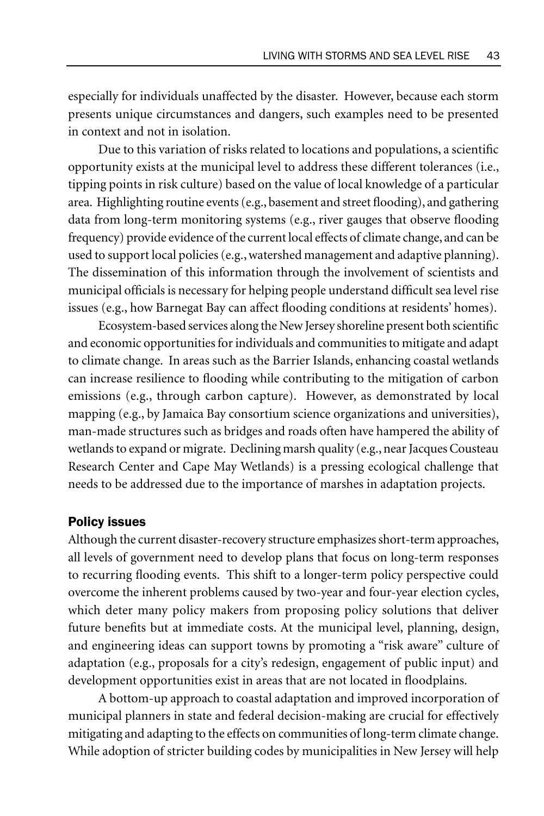especially for individuals unaffected by the disaster. However, because each storm presents unique circumstances and dangers, such examples need to be presented in context and not in isolation.

Due to this variation of risks related to locations and populations, a scientific opportunity exists at the municipal level to address these different tolerances (i.e., tipping points in risk culture) based on the value of local knowledge of a particular area. Highlighting routine events (e.g., basement and street flooding), and gathering data from long-term monitoring systems (e.g., river gauges that observe flooding frequency) provide evidence of the current local effects of climate change, and can be used to support local policies (e.g., watershed management and adaptive planning). The dissemination of this information through the involvement of scientists and municipal officials is necessary for helping people understand difficult sea level rise issues (e.g., how Barnegat Bay can affect flooding conditions at residents' homes).

Ecosystem-based services along the New Jersey shoreline present both scientific and economic opportunities for individuals and communities to mitigate and adapt to climate change. In areas such as the Barrier Islands, enhancing coastal wetlands can increase resilience to flooding while contributing to the mitigation of carbon emissions (e.g., through carbon capture). However, as demonstrated by local mapping (e.g., by Jamaica Bay consortium science organizations and universities), man-made structures such as bridges and roads often have hampered the ability of wetlands to expand or migrate. Declining marsh quality (e.g., near Jacques Cousteau Research Center and Cape May Wetlands) is a pressing ecological challenge that needs to be addressed due to the importance of marshes in adaptation projects.

### Policy issues

Although the current disaster-recovery structure emphasizes short-term approaches, all levels of government need to develop plans that focus on long-term responses to recurring flooding events. This shift to a longer-term policy perspective could overcome the inherent problems caused by two-year and four-year election cycles, which deter many policy makers from proposing policy solutions that deliver future benefits but at immediate costs. At the municipal level, planning, design, and engineering ideas can support towns by promoting a "risk aware" culture of adaptation (e.g., proposals for a city's redesign, engagement of public input) and development opportunities exist in areas that are not located in floodplains.

A bottom-up approach to coastal adaptation and improved incorporation of municipal planners in state and federal decision-making are crucial for effectively mitigating and adapting to the effects on communities of long-term climate change. While adoption of stricter building codes by municipalities in New Jersey will help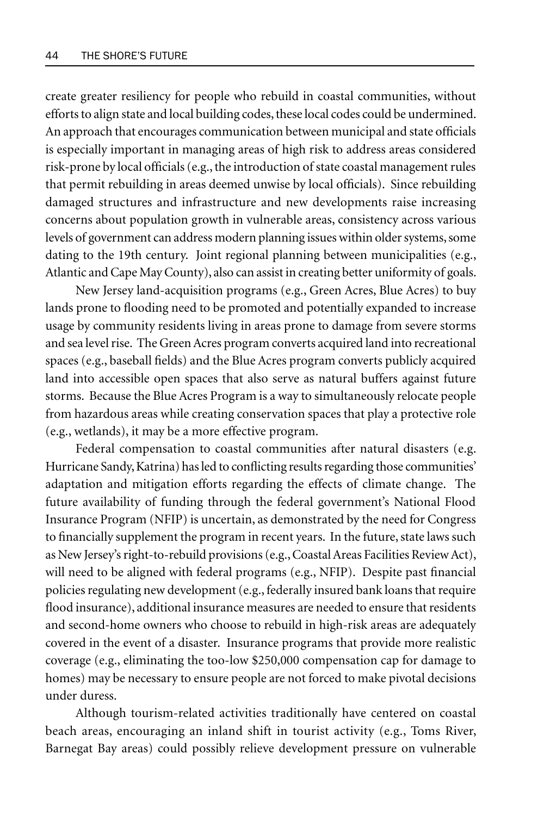create greater resiliency for people who rebuild in coastal communities, without efforts to align state and local building codes, these local codes could be undermined. An approach that encourages communication between municipal and state officials is especially important in managing areas of high risk to address areas considered risk-prone by local officials (e.g., the introduction of state coastal management rules that permit rebuilding in areas deemed unwise by local officials). Since rebuilding damaged structures and infrastructure and new developments raise increasing concerns about population growth in vulnerable areas, consistency across various levels of government can address modern planning issues within older systems, some dating to the 19th century. Joint regional planning between municipalities (e.g., Atlantic and Cape May County), also can assist in creating better uniformity of goals.

New Jersey land-acquisition programs (e.g., Green Acres, Blue Acres) to buy lands prone to flooding need to be promoted and potentially expanded to increase usage by community residents living in areas prone to damage from severe storms and sea level rise. The Green Acres program converts acquired land into recreational spaces (e.g., baseball fields) and the Blue Acres program converts publicly acquired land into accessible open spaces that also serve as natural buffers against future storms. Because the Blue Acres Program is a way to simultaneously relocate people from hazardous areas while creating conservation spaces that play a protective role (e.g., wetlands), it may be a more effective program.

Federal compensation to coastal communities after natural disasters (e.g. Hurricane Sandy, Katrina) has led to conflicting results regarding those communities' adaptation and mitigation efforts regarding the effects of climate change. The future availability of funding through the federal government's National Flood Insurance Program (NFIP) is uncertain, as demonstrated by the need for Congress to financially supplement the program in recent years. In the future, state laws such as New Jersey's right-to-rebuild provisions (e.g., Coastal Areas Facilities Review Act), will need to be aligned with federal programs (e.g., NFIP). Despite past financial policies regulating new development (e.g., federally insured bank loans that require flood insurance), additional insurance measures are needed to ensure that residents and second-home owners who choose to rebuild in high-risk areas are adequately covered in the event of a disaster. Insurance programs that provide more realistic coverage (e.g., eliminating the too-low \$250,000 compensation cap for damage to homes) may be necessary to ensure people are not forced to make pivotal decisions under duress.

Although tourism-related activities traditionally have centered on coastal beach areas, encouraging an inland shift in tourist activity (e.g., Toms River, Barnegat Bay areas) could possibly relieve development pressure on vulnerable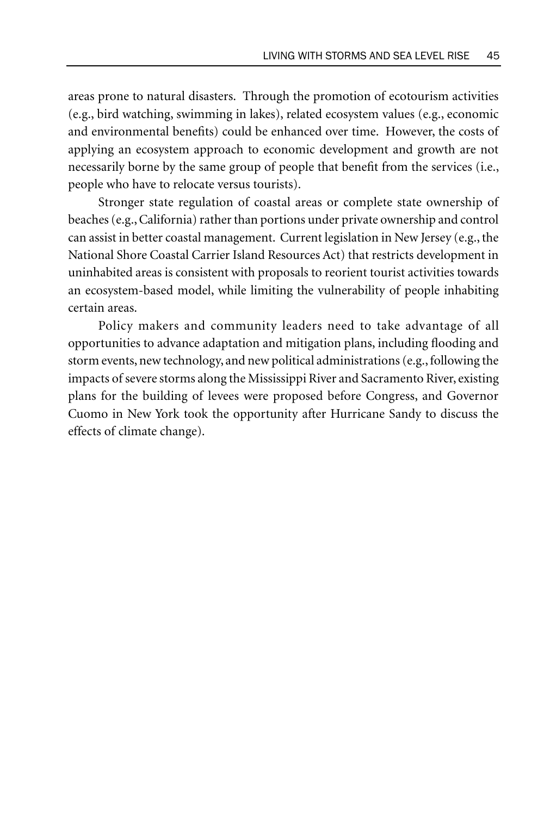areas prone to natural disasters. Through the promotion of ecotourism activities (e.g., bird watching, swimming in lakes), related ecosystem values (e.g., economic and environmental benefits) could be enhanced over time. However, the costs of applying an ecosystem approach to economic development and growth are not necessarily borne by the same group of people that benefit from the services (i.e., people who have to relocate versus tourists).

Stronger state regulation of coastal areas or complete state ownership of beaches (e.g., California) rather than portions under private ownership and control can assist in better coastal management. Current legislation in New Jersey (e.g., the National Shore Coastal Carrier Island Resources Act) that restricts development in uninhabited areas is consistent with proposals to reorient tourist activities towards an ecosystem-based model, while limiting the vulnerability of people inhabiting certain areas.

Policy makers and community leaders need to take advantage of all opportunities to advance adaptation and mitigation plans, including flooding and storm events, new technology, and new political administrations (e.g., following the impacts of severe storms along the Mississippi River and Sacramento River, existing plans for the building of levees were proposed before Congress, and Governor Cuomo in New York took the opportunity after Hurricane Sandy to discuss the effects of climate change).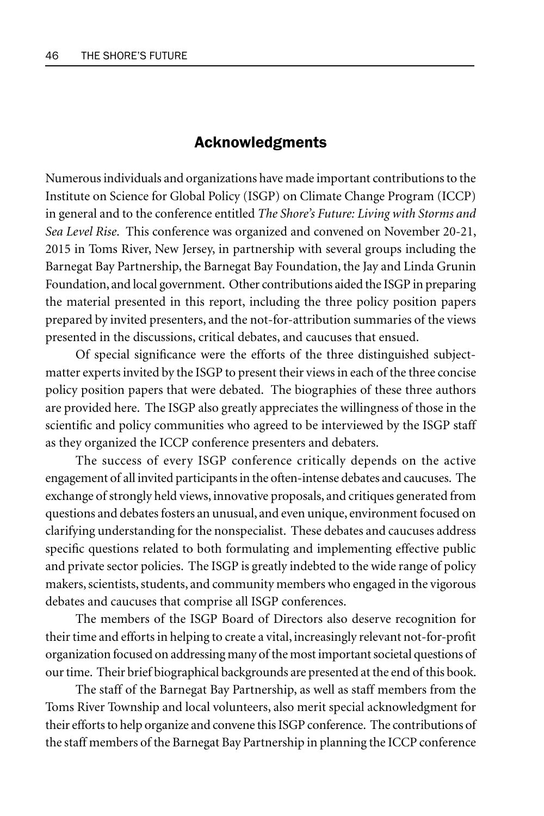## Acknowledgments

Numerous individuals and organizations have made important contributions to the Institute on Science for Global Policy (ISGP) on Climate Change Program (ICCP) in general and to the conference entitled *The Shore's Future: Living with Storms and Sea Level Rise*. This conference was organized and convened on November 20-21, 2015 in Toms River, New Jersey, in partnership with several groups including the Barnegat Bay Partnership, the Barnegat Bay Foundation, the Jay and Linda Grunin Foundation, and local government. Other contributions aided the ISGP in preparing the material presented in this report, including the three policy position papers prepared by invited presenters, and the not-for-attribution summaries of the views presented in the discussions, critical debates, and caucuses that ensued.

Of special significance were the efforts of the three distinguished subjectmatter experts invited by the ISGP to present their views in each of the three concise policy position papers that were debated. The biographies of these three authors are provided here. The ISGP also greatly appreciates the willingness of those in the scientific and policy communities who agreed to be interviewed by the ISGP staff as they organized the ICCP conference presenters and debaters.

The success of every ISGP conference critically depends on the active engagement of all invited participants in the often-intense debates and caucuses. The exchange of strongly held views, innovative proposals, and critiques generated from questions and debates fosters an unusual, and even unique, environment focused on clarifying understanding for the nonspecialist. These debates and caucuses address specific questions related to both formulating and implementing effective public and private sector policies. The ISGP is greatly indebted to the wide range of policy makers, scientists, students, and community members who engaged in the vigorous debates and caucuses that comprise all ISGP conferences.

The members of the ISGP Board of Directors also deserve recognition for their time and efforts in helping to create a vital, increasingly relevant not-for-profit organization focused on addressing many of the most important societal questions of our time. Their brief biographical backgrounds are presented at the end of this book.

The staff of the Barnegat Bay Partnership, as well as staff members from the Toms River Township and local volunteers, also merit special acknowledgment for their efforts to help organize and convene this ISGP conference. The contributions of the staff members of the Barnegat Bay Partnership in planning the ICCP conference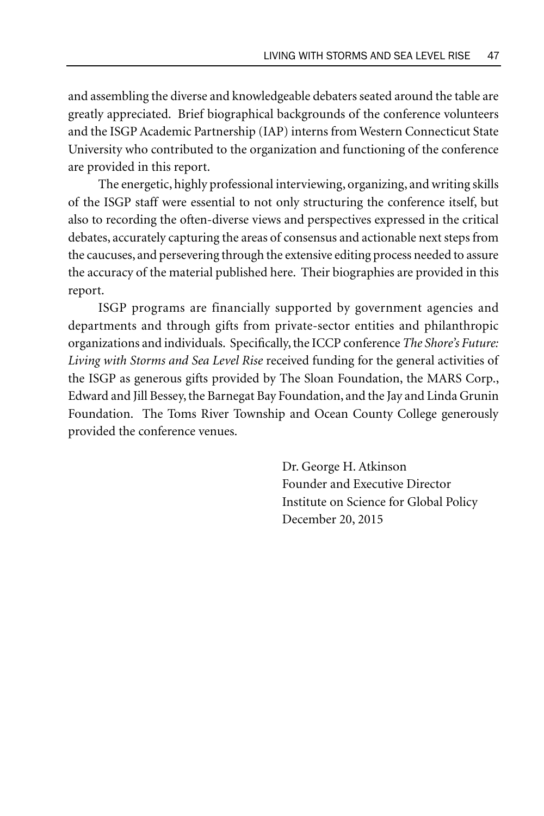and assembling the diverse and knowledgeable debaters seated around the table are greatly appreciated. Brief biographical backgrounds of the conference volunteers and the ISGP Academic Partnership (IAP) interns from Western Connecticut State University who contributed to the organization and functioning of the conference are provided in this report.

The energetic, highly professional interviewing, organizing, and writing skills of the ISGP staff were essential to not only structuring the conference itself, but also to recording the often-diverse views and perspectives expressed in the critical debates, accurately capturing the areas of consensus and actionable next steps from the caucuses, and persevering through the extensive editing process needed to assure the accuracy of the material published here. Their biographies are provided in this report.

ISGP programs are financially supported by government agencies and departments and through gifts from private-sector entities and philanthropic organizations and individuals. Specifically, the ICCP conference *The Shore's Future: Living with Storms and Sea Level Rise* received funding for the general activities of the ISGP as generous gifts provided by The Sloan Foundation, the MARS Corp., Edward and Jill Bessey, the Barnegat Bay Foundation, and the Jay and Linda Grunin Foundation. The Toms River Township and Ocean County College generously provided the conference venues.

> Dr. George H. Atkinson Founder and Executive Director Institute on Science for Global Policy December 20, 2015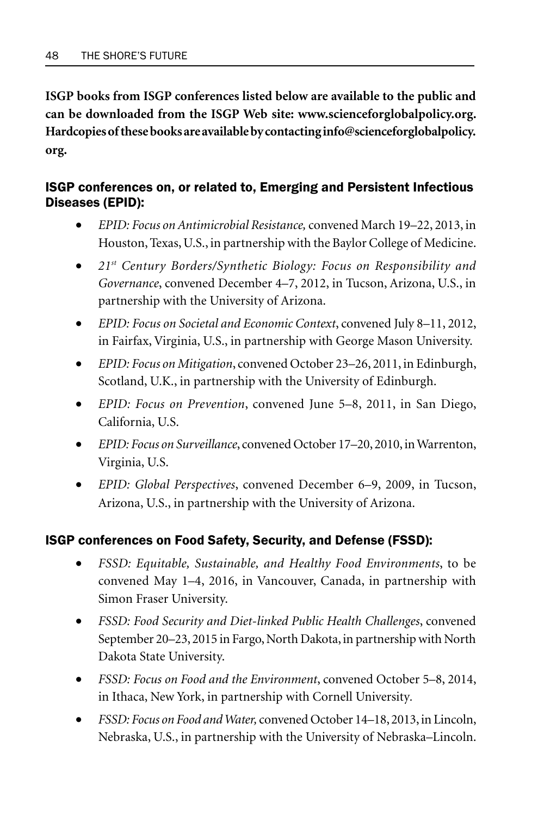**ISGP books from ISGP conferences listed below are available to the public and can be downloaded from the ISGP Web site: www.scienceforglobalpolicy.org. Hardcopies of these books are available by contacting info@scienceforglobalpolicy. org.**

## ISGP conferences on, or related to, Emerging and Persistent Infectious Diseases (EPID):

- *EPID: Focus on Antimicrobial Resistance,* convened March 19–22, 2013, in Houston, Texas, U.S., in partnership with the Baylor College of Medicine.
- *21st Century Borders/Synthetic Biology: Focus on Responsibility and Governance*, convened December 4–7, 2012, in Tucson, Arizona, U.S., in partnership with the University of Arizona.
- *EPID: Focus on Societal and Economic Context*, convened July 8–11, 2012, in Fairfax, Virginia, U.S., in partnership with George Mason University.
- *EPID: Focus on Mitigation*, convened October 23–26, 2011, in Edinburgh, Scotland, U.K., in partnership with the University of Edinburgh.
- *EPID: Focus on Prevention*, convened June 5–8, 2011, in San Diego, California, U.S.
- *EPID: Focus on Surveillance*, convened October 17–20, 2010, in Warrenton, Virginia, U.S.
- *EPID: Global Perspectives*, convened December 6–9, 2009, in Tucson, Arizona, U.S., in partnership with the University of Arizona.

## ISGP conferences on Food Safety, Security, and Defense (FSSD):

- *FSSD: Equitable, Sustainable, and Healthy Food Environments*, to be convened May 1–4, 2016, in Vancouver, Canada, in partnership with Simon Fraser University.
- *FSSD: Food Security and Diet-linked Public Health Challenges*, convened September 20–23, 2015 in Fargo, North Dakota, in partnership with North Dakota State University.
- *FSSD: Focus on Food and the Environment*, convened October 5–8, 2014, in Ithaca, New York, in partnership with Cornell University*.*
- *FSSD: Focus on Food and Water,* convened October 14–18, 2013, in Lincoln, Nebraska, U.S., in partnership with the University of Nebraska–Lincoln.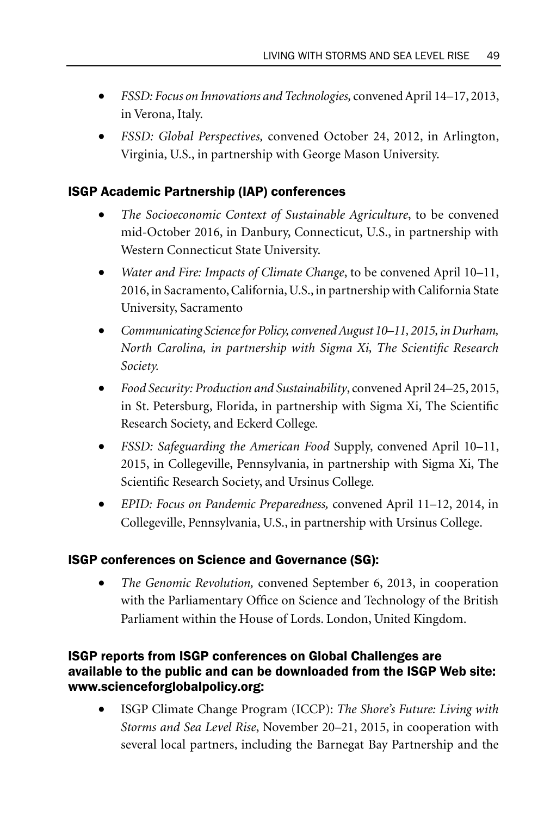- *FSSD: Focus on Innovations and Technologies,* convened April 14–17, 2013, in Verona, Italy.
- *FSSD: Global Perspectives,* convened October 24, 2012, in Arlington, Virginia, U.S., in partnership with George Mason University.

## ISGP Academic Partnership (IAP) conferences

- *The Socioeconomic Context of Sustainable Agriculture*, to be convened mid-October 2016, in Danbury, Connecticut, U.S., in partnership with Western Connecticut State University.
- *Water and Fire: Impacts of Climate Change*, to be convened April 10–11, 2016, in Sacramento, California, U.S., in partnership with California State University, Sacramento
- *Communicating Science for Policy, convened August 10–11, 2015, in Durham, North Carolina, in partnership with Sigma Xi, The Scientific Research Society.*
- *Food Security: Production and Sustainability*, convened April 24–25, 2015, in St. Petersburg, Florida, in partnership with Sigma Xi, The Scientific Research Society, and Eckerd College*.*
- *FSSD: Safeguarding the American Food* Supply, convened April 10–11, 2015, in Collegeville, Pennsylvania, in partnership with Sigma Xi, The Scientific Research Society, and Ursinus College*.*
- *EPID: Focus on Pandemic Preparedness,* convened April 11–12, 2014, in Collegeville, Pennsylvania, U.S., in partnership with Ursinus College.

## ISGP conferences on Science and Governance (SG):

• *The Genomic Revolution,* convened September 6, 2013, in cooperation with the Parliamentary Office on Science and Technology of the British Parliament within the House of Lords. London, United Kingdom.

## ISGP reports from ISGP conferences on Global Challenges are available to the public and can be downloaded from the ISGP Web site: www.scienceforglobalpolicy.org:

• ISGP Climate Change Program (ICCP): *The Shore's Future: Living with Storms and Sea Level Rise*, November 20–21, 2015, in cooperation with several local partners, including the Barnegat Bay Partnership and the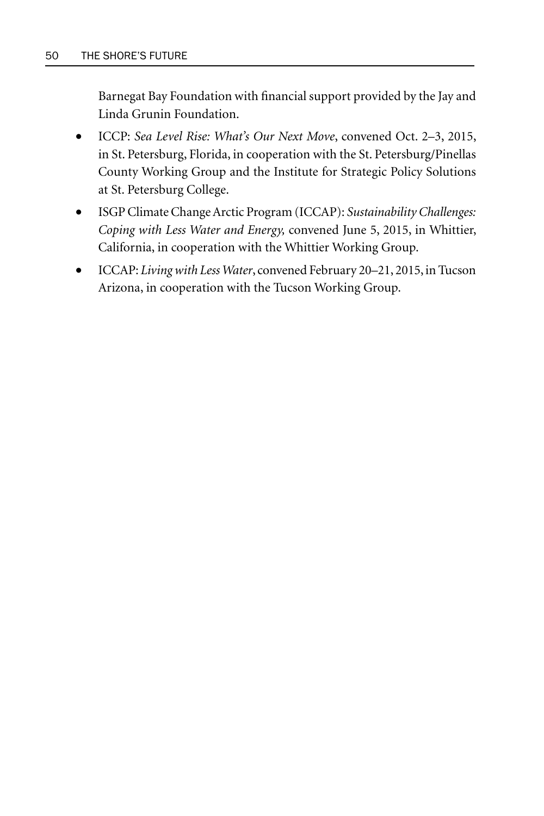Barnegat Bay Foundation with financial support provided by the Jay and Linda Grunin Foundation.

- ICCP: *Sea Level Rise: What's Our Next Move*, convened Oct. 2–3, 2015, in St. Petersburg, Florida, in cooperation with the St. Petersburg/Pinellas County Working Group and the Institute for Strategic Policy Solutions at St. Petersburg College.
- ISGP Climate Change Arctic Program (ICCAP): *Sustainability Challenges: Coping with Less Water and Energy,* convened June 5, 2015, in Whittier, California, in cooperation with the Whittier Working Group.
- ICCAP: *Living with Less Water*, convened February 20–21, 2015, in Tucson Arizona, in cooperation with the Tucson Working Group.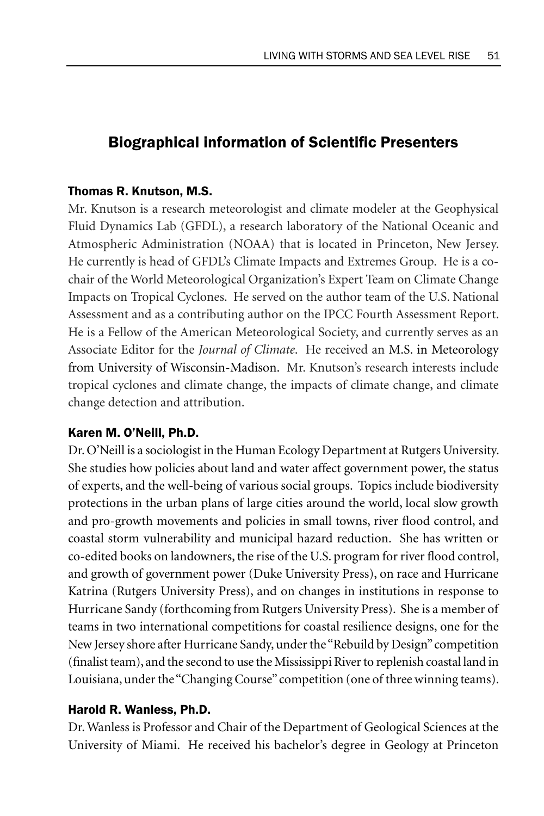## **Biographical information of Scientific Presenters**

### Thomas R. Knutson, M.S.

Mr. Knutson is a research meteorologist and climate modeler at the Geophysical Fluid Dynamics Lab (GFDL), a research laboratory of the National Oceanic and Atmospheric Administration (NOAA) that is located in Princeton, New Jersey. He currently is head of GFDL's Climate Impacts and Extremes Group. He is a cochair of the World Meteorological Organization's Expert Team on Climate Change Impacts on Tropical Cyclones. He served on the author team of the U.S. National Assessment and as a contributing author on the IPCC Fourth Assessment Report. He is a Fellow of the American Meteorological Society, and currently serves as an Associate Editor for the *Journal of Climate*. He received an M.S. in Meteorology from University of Wisconsin-Madison. Mr. Knutson's research interests include tropical cyclones and climate change, the impacts of climate change, and climate change detection and attribution.

### Karen M. O'Neill, Ph.D.

Dr. O'Neill is a sociologist in the Human Ecology Department at Rutgers University. She studies how policies about land and water affect government power, the status of experts, and the well-being of various social groups. Topics include biodiversity protections in the urban plans of large cities around the world, local slow growth and pro-growth movements and policies in small towns, river flood control, and coastal storm vulnerability and municipal hazard reduction. She has written or co-edited books on landowners, the rise of the U.S. program for river flood control, and growth of government power (Duke University Press), on race and Hurricane Katrina (Rutgers University Press), and on changes in institutions in response to Hurricane Sandy (forthcoming from Rutgers University Press). She is a member of teams in two international competitions for coastal resilience designs, one for the New Jersey shore after Hurricane Sandy, under the "Rebuild by Design" competition (finalist team), and the second to use the Mississippi River to replenish coastal land in Louisiana, under the "Changing Course" competition (one of three winning teams).

## Harold R. Wanless, Ph.D.

Dr. Wanless is Professor and Chair of the Department of Geological Sciences at the University of Miami. He received his bachelor's degree in Geology at Princeton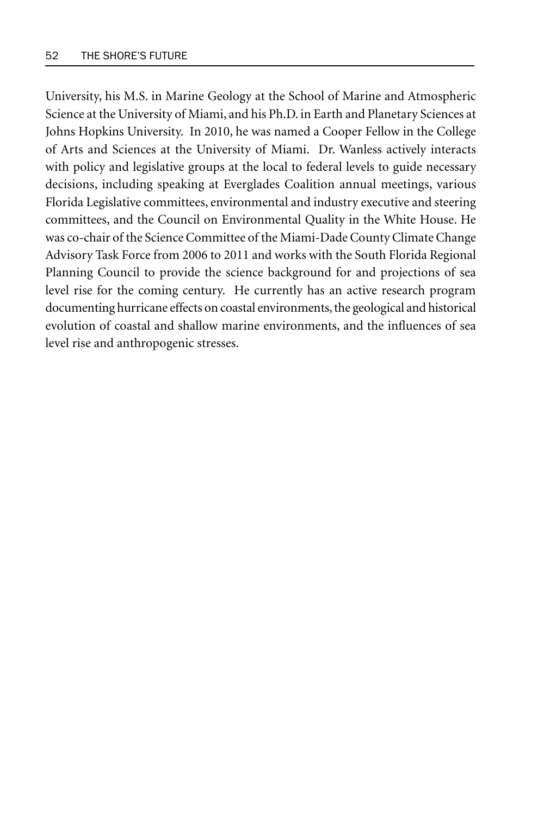University, his M.S. in Marine Geology at the School of Marine and Atmospheric Science at the University of Miami, and his Ph.D. in Earth and Planetary Sciences at Johns Hopkins University. In 2010, he was named a Cooper Fellow in the College of Arts and Sciences at the University of Miami. Dr. Wanless actively interacts with policy and legislative groups at the local to federal levels to guide necessary decisions, including speaking at Everglades Coalition annual meetings, various Florida Legislative committees, environmental and industry executive and steering committees, and the Council on Environmental Quality in the White House. He was co-chair of the Science Committee of the Miami-Dade County Climate Change Advisory Task Force from 2006 to 2011 and works with the South Florida Regional Planning Council to provide the science background for and projections of sea level rise for the coming century. He currently has an active research program documenting hurricane effects on coastal environments, the geological and historical evolution of coastal and shallow marine environments, and the influences of sea level rise and anthropogenic stresses.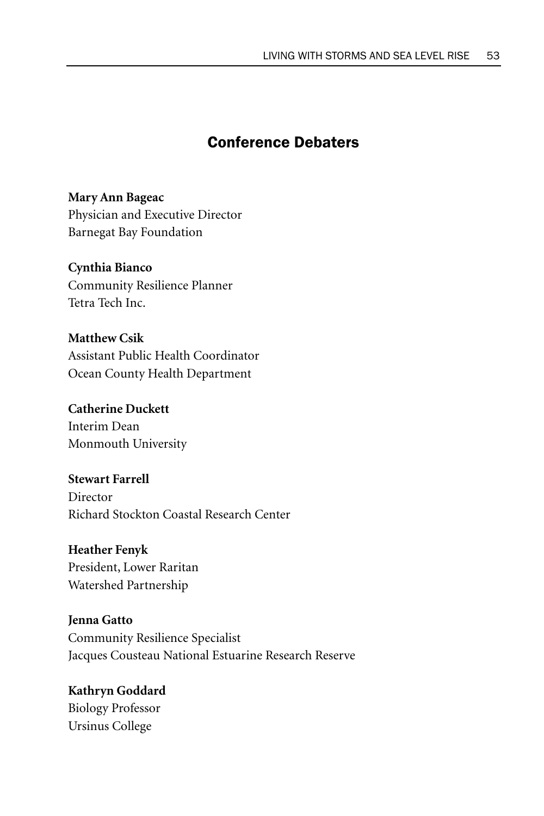# Conference Debaters

**Mary Ann Bageac** Physician and Executive Director Barnegat Bay Foundation

## **Cynthia Bianco**

Community Resilience Planner Tetra Tech Inc.

## **Matthew Csik**

Assistant Public Health Coordinator Ocean County Health Department

**Catherine Duckett** Interim Dean Monmouth University

**Stewart Farrell** Director Richard Stockton Coastal Research Center

**Heather Fenyk** President, Lower Raritan Watershed Partnership

**Jenna Gatto** Community Resilience Specialist Jacques Cousteau National Estuarine Research Reserve

**Kathryn Goddard**  Biology Professor Ursinus College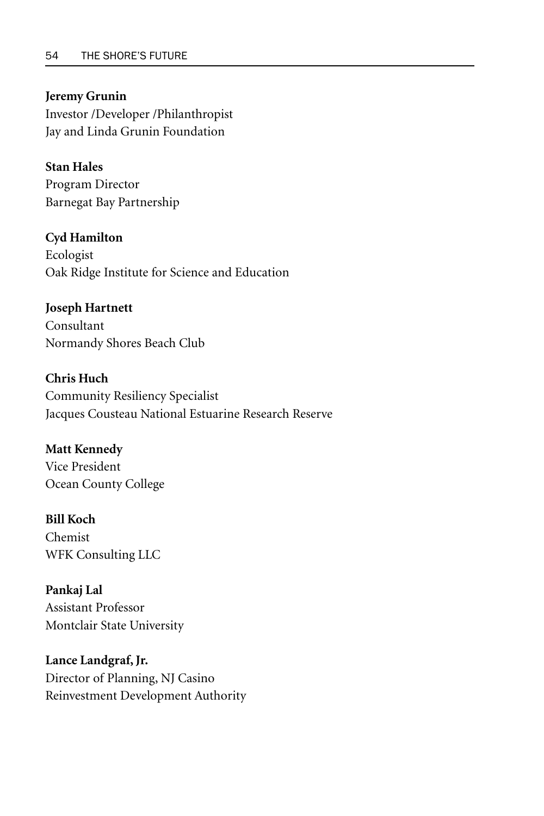#### **Jeremy Grunin**

Investor /Developer /Philanthropist Jay and Linda Grunin Foundation

## **Stan Hales**

Program Director Barnegat Bay Partnership

### **Cyd Hamilton**

Ecologist Oak Ridge Institute for Science and Education

### **Joseph Hartnett**

Consultant Normandy Shores Beach Club

**Chris Huch** Community Resiliency Specialist Jacques Cousteau National Estuarine Research Reserve

## **Matt Kennedy** Vice President

Ocean County College

### **Bill Koch**

Chemist WFK Consulting LLC

### **Pankaj Lal**

Assistant Professor Montclair State University

## **Lance Landgraf, Jr.**

Director of Planning, NJ Casino Reinvestment Development Authority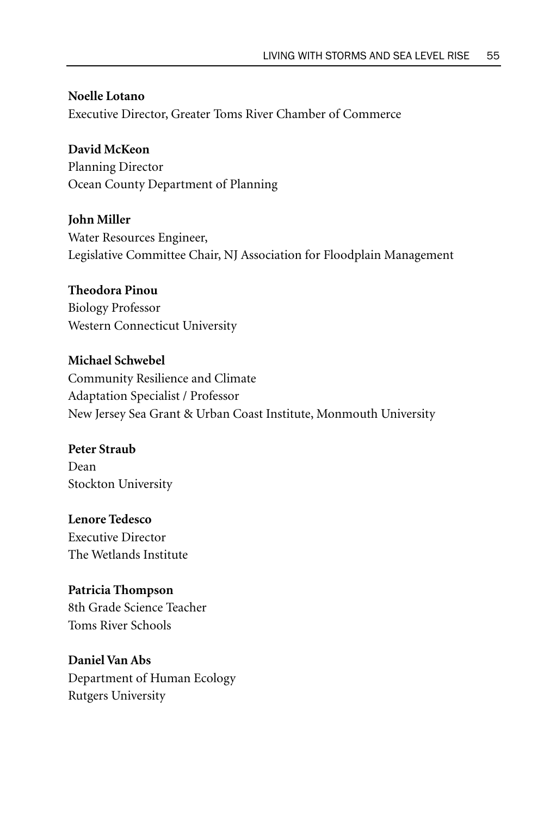**Noelle Lotano** Executive Director, Greater Toms River Chamber of Commerce

**David McKeon** Planning Director Ocean County Department of Planning

**John Miller** Water Resources Engineer, Legislative Committee Chair, NJ Association for Floodplain Management

**Theodora Pinou** Biology Professor Western Connecticut University

**Michael Schwebel** Community Resilience and Climate Adaptation Specialist / Professor New Jersey Sea Grant & Urban Coast Institute, Monmouth University

**Peter Straub** Dean Stockton University

**Lenore Tedesco** Executive Director The Wetlands Institute

**Patricia Thompson** 8th Grade Science Teacher Toms River Schools

**Daniel Van Abs** Department of Human Ecology Rutgers University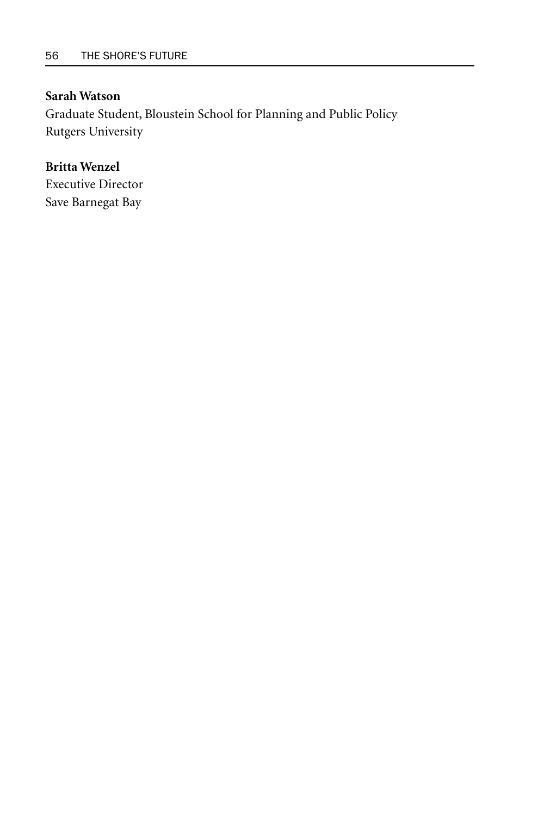### **Sarah Watson**

Graduate Student, Bloustein School for Planning and Public Policy Rutgers University

## **Britta Wenzel**

Executive Director Save Barnegat Bay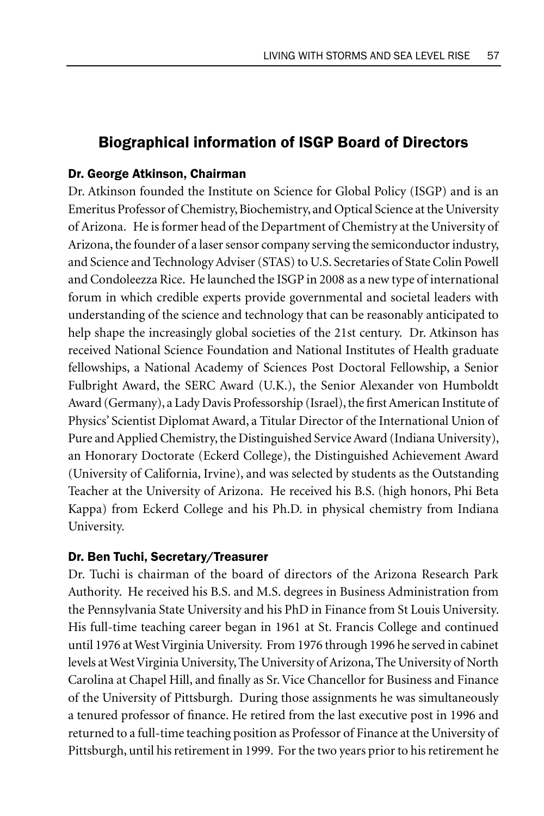## Biographical information of ISGP Board of Directors

### Dr. George Atkinson, Chairman

Dr. Atkinson founded the Institute on Science for Global Policy (ISGP) and is an Emeritus Professor of Chemistry, Biochemistry, and Optical Science at the University of Arizona. He is former head of the Department of Chemistry at the University of Arizona, the founder of a laser sensor company serving the semiconductor industry, and Science and Technology Adviser (STAS) to U.S. Secretaries of State Colin Powell and Condoleezza Rice. He launched the ISGP in 2008 as a new type of international forum in which credible experts provide governmental and societal leaders with understanding of the science and technology that can be reasonably anticipated to help shape the increasingly global societies of the 21st century. Dr. Atkinson has received National Science Foundation and National Institutes of Health graduate fellowships, a National Academy of Sciences Post Doctoral Fellowship, a Senior Fulbright Award, the SERC Award (U.K.), the Senior Alexander von Humboldt Award (Germany), a Lady Davis Professorship (Israel), the first American Institute of Physics' Scientist Diplomat Award, a Titular Director of the International Union of Pure and Applied Chemistry, the Distinguished Service Award (Indiana University), an Honorary Doctorate (Eckerd College), the Distinguished Achievement Award (University of California, Irvine), and was selected by students as the Outstanding Teacher at the University of Arizona. He received his B.S. (high honors, Phi Beta Kappa) from Eckerd College and his Ph.D. in physical chemistry from Indiana University.

### Dr. Ben Tuchi, Secretary/Treasurer

Dr. Tuchi is chairman of the board of directors of the Arizona Research Park Authority. He received his B.S. and M.S. degrees in Business Administration from the Pennsylvania State University and his PhD in Finance from St Louis University. His full-time teaching career began in 1961 at St. Francis College and continued until 1976 at West Virginia University. From 1976 through 1996 he served in cabinet levels at West Virginia University, The University of Arizona, The University of North Carolina at Chapel Hill, and finally as Sr. Vice Chancellor for Business and Finance of the University of Pittsburgh. During those assignments he was simultaneously a tenured professor of finance. He retired from the last executive post in 1996 and returned to a full-time teaching position as Professor of Finance at the University of Pittsburgh, until his retirement in 1999. For the two years prior to his retirement he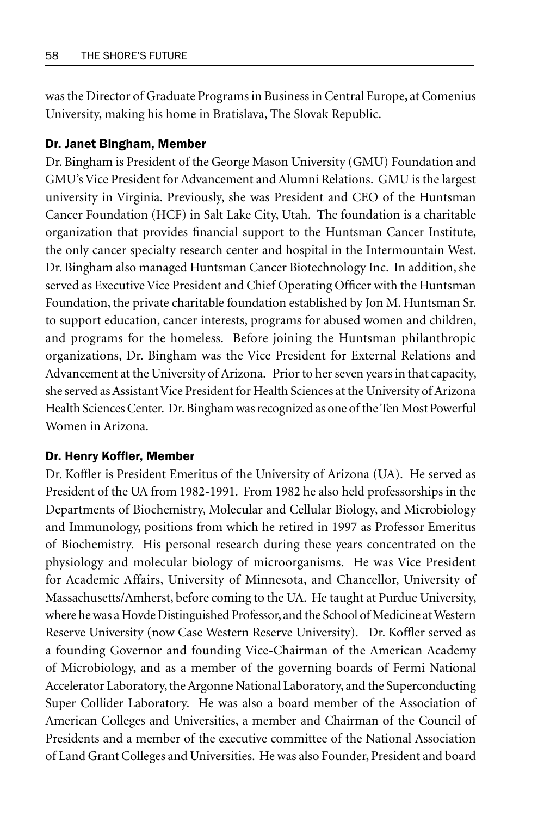was the Director of Graduate Programs in Business in Central Europe, at Comenius University, making his home in Bratislava, The Slovak Republic.

#### Dr. Janet Bingham, Member

Dr. Bingham is President of the George Mason University (GMU) Foundation and GMU's Vice President for Advancement and Alumni Relations. GMU is the largest university in Virginia. Previously, she was President and CEO of the Huntsman Cancer Foundation (HCF) in Salt Lake City, Utah. The foundation is a charitable organization that provides financial support to the Huntsman Cancer Institute, the only cancer specialty research center and hospital in the Intermountain West. Dr. Bingham also managed Huntsman Cancer Biotechnology Inc. In addition, she served as Executive Vice President and Chief Operating Officer with the Huntsman Foundation, the private charitable foundation established by Jon M. Huntsman Sr. to support education, cancer interests, programs for abused women and children, and programs for the homeless. Before joining the Huntsman philanthropic organizations, Dr. Bingham was the Vice President for External Relations and Advancement at the University of Arizona. Prior to her seven years in that capacity, she served as Assistant Vice President for Health Sciences at the University of Arizona Health Sciences Center. Dr. Bingham was recognized as one of the Ten Most Powerful Women in Arizona.

#### Dr. Henry Koffler, Member

Dr. Koffler is President Emeritus of the University of Arizona (UA). He served as President of the UA from 1982-1991. From 1982 he also held professorships in the Departments of Biochemistry, Molecular and Cellular Biology, and Microbiology and Immunology, positions from which he retired in 1997 as Professor Emeritus of Biochemistry. His personal research during these years concentrated on the physiology and molecular biology of microorganisms. He was Vice President for Academic Affairs, University of Minnesota, and Chancellor, University of Massachusetts/Amherst, before coming to the UA. He taught at Purdue University, where he was a Hovde Distinguished Professor, and the School of Medicine at Western Reserve University (now Case Western Reserve University). Dr. Koffler served as a founding Governor and founding Vice-Chairman of the American Academy of Microbiology, and as a member of the governing boards of Fermi National Accelerator Laboratory, the Argonne National Laboratory, and the Superconducting Super Collider Laboratory. He was also a board member of the Association of American Colleges and Universities, a member and Chairman of the Council of Presidents and a member of the executive committee of the National Association of Land Grant Colleges and Universities. He was also Founder, President and board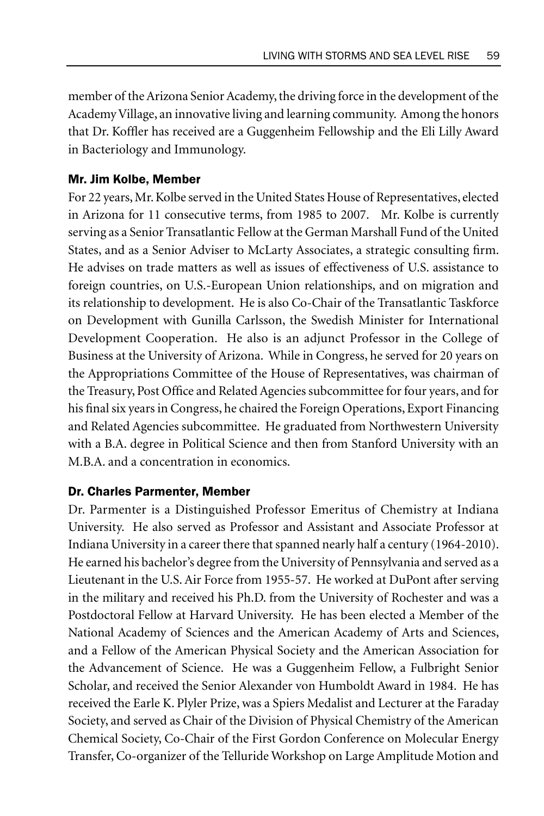member of the Arizona Senior Academy, the driving force in the development of the Academy Village, an innovative living and learning community. Among the honors that Dr. Koffler has received are a Guggenheim Fellowship and the Eli Lilly Award in Bacteriology and Immunology.

### Mr. Jim Kolbe, Member

For 22 years, Mr. Kolbe served in the United States House of Representatives, elected in Arizona for 11 consecutive terms, from 1985 to 2007. Mr. Kolbe is currently serving as a Senior Transatlantic Fellow at the German Marshall Fund of the United States, and as a Senior Adviser to McLarty Associates, a strategic consulting firm. He advises on trade matters as well as issues of effectiveness of U.S. assistance to foreign countries, on U.S.-European Union relationships, and on migration and its relationship to development. He is also Co-Chair of the Transatlantic Taskforce on Development with Gunilla Carlsson, the Swedish Minister for International Development Cooperation. He also is an adjunct Professor in the College of Business at the University of Arizona. While in Congress, he served for 20 years on the Appropriations Committee of the House of Representatives, was chairman of the Treasury, Post Office and Related Agencies subcommittee for four years, and for his final six years in Congress, he chaired the Foreign Operations, Export Financing and Related Agencies subcommittee. He graduated from Northwestern University with a B.A. degree in Political Science and then from Stanford University with an M.B.A. and a concentration in economics.

### Dr. Charles Parmenter, Member

Dr. Parmenter is a Distinguished Professor Emeritus of Chemistry at Indiana University. He also served as Professor and Assistant and Associate Professor at Indiana University in a career there that spanned nearly half a century (1964-2010). He earned his bachelor's degree from the University of Pennsylvania and served as a Lieutenant in the U.S. Air Force from 1955-57. He worked at DuPont after serving in the military and received his Ph.D. from the University of Rochester and was a Postdoctoral Fellow at Harvard University. He has been elected a Member of the National Academy of Sciences and the American Academy of Arts and Sciences, and a Fellow of the American Physical Society and the American Association for the Advancement of Science. He was a Guggenheim Fellow, a Fulbright Senior Scholar, and received the Senior Alexander von Humboldt Award in 1984. He has received the Earle K. Plyler Prize, was a Spiers Medalist and Lecturer at the Faraday Society, and served as Chair of the Division of Physical Chemistry of the American Chemical Society, Co-Chair of the First Gordon Conference on Molecular Energy Transfer, Co-organizer of the Telluride Workshop on Large Amplitude Motion and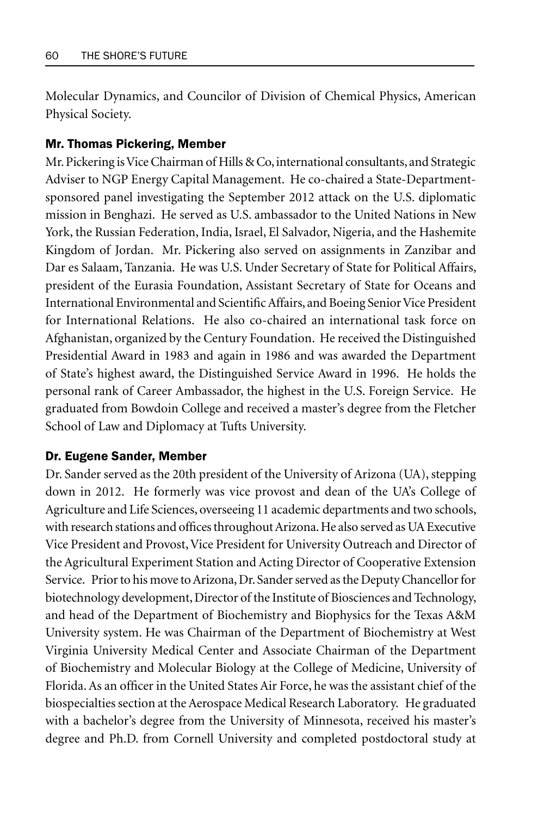Molecular Dynamics, and Councilor of Division of Chemical Physics, American Physical Society.

#### Mr. Thomas Pickering, Member

Mr. Pickering is Vice Chairman of Hills & Co, international consultants, and Strategic Adviser to NGP Energy Capital Management. He co-chaired a State-Departmentsponsored panel investigating the September 2012 attack on the U.S. diplomatic mission in Benghazi. He served as U.S. ambassador to the United Nations in New York, the Russian Federation, India, Israel, El Salvador, Nigeria, and the Hashemite Kingdom of Jordan. Mr. Pickering also served on assignments in Zanzibar and Dar es Salaam, Tanzania. He was U.S. Under Secretary of State for Political Affairs, president of the Eurasia Foundation, Assistant Secretary of State for Oceans and International Environmental and Scientific Affairs, and Boeing Senior Vice President for International Relations. He also co-chaired an international task force on Afghanistan, organized by the Century Foundation. He received the Distinguished Presidential Award in 1983 and again in 1986 and was awarded the Department of State's highest award, the Distinguished Service Award in 1996. He holds the personal rank of Career Ambassador, the highest in the U.S. Foreign Service. He graduated from Bowdoin College and received a master's degree from the Fletcher School of Law and Diplomacy at Tufts University.

#### Dr. Eugene Sander, Member

Dr. Sander served as the 20th president of the University of Arizona (UA), stepping down in 2012. He formerly was vice provost and dean of the UA's College of Agriculture and Life Sciences, overseeing 11 academic departments and two schools, with research stations and offices throughout Arizona. He also served as UA Executive Vice President and Provost, Vice President for University Outreach and Director of the Agricultural Experiment Station and Acting Director of Cooperative Extension Service. Prior to his move to Arizona, Dr. Sander served as the Deputy Chancellor for biotechnology development, Director of the Institute of Biosciences and Technology, and head of the Department of Biochemistry and Biophysics for the Texas A&M University system. He was Chairman of the Department of Biochemistry at West Virginia University Medical Center and Associate Chairman of the Department of Biochemistry and Molecular Biology at the College of Medicine, University of Florida. As an officer in the United States Air Force, he was the assistant chief of the biospecialties section at the Aerospace Medical Research Laboratory. He graduated with a bachelor's degree from the University of Minnesota, received his master's degree and Ph.D. from Cornell University and completed postdoctoral study at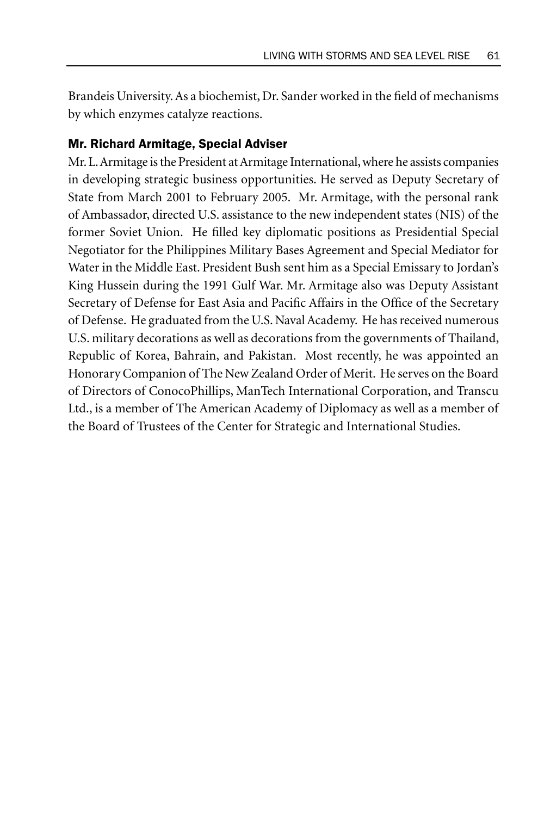Brandeis University. As a biochemist, Dr. Sander worked in the field of mechanisms by which enzymes catalyze reactions.

### Mr. Richard Armitage, Special Adviser

Mr. L. Armitage is the President at Armitage International, where he assists companies in developing strategic business opportunities. He served as Deputy Secretary of State from March 2001 to February 2005. Mr. Armitage, with the personal rank of Ambassador, directed U.S. assistance to the new independent states (NIS) of the former Soviet Union. He filled key diplomatic positions as Presidential Special Negotiator for the Philippines Military Bases Agreement and Special Mediator for Water in the Middle East. President Bush sent him as a Special Emissary to Jordan's King Hussein during the 1991 Gulf War. Mr. Armitage also was Deputy Assistant Secretary of Defense for East Asia and Pacific Affairs in the Office of the Secretary of Defense. He graduated from the U.S. Naval Academy. He has received numerous U.S. military decorations as well as decorations from the governments of Thailand, Republic of Korea, Bahrain, and Pakistan. Most recently, he was appointed an Honorary Companion of The New Zealand Order of Merit. He serves on the Board of Directors of ConocoPhillips, ManTech International Corporation, and Transcu Ltd., is a member of The American Academy of Diplomacy as well as a member of the Board of Trustees of the Center for Strategic and International Studies.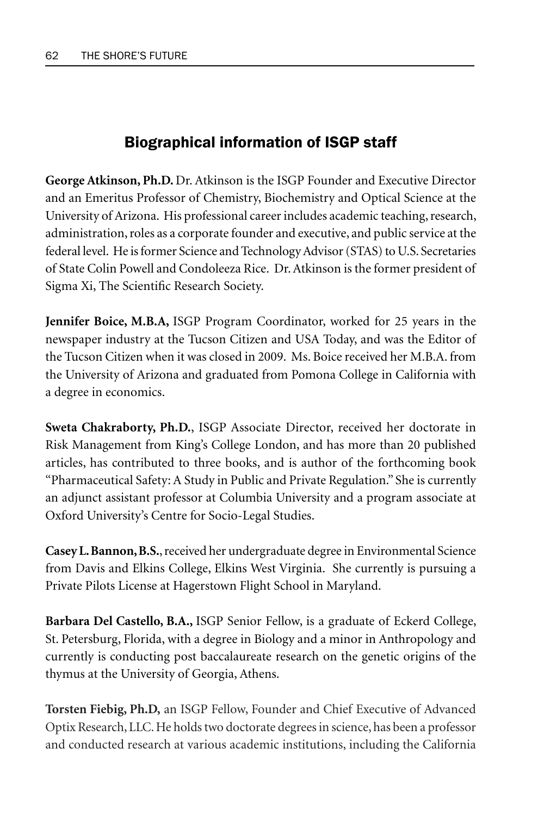# Biographical information of ISGP staff

**George Atkinson, Ph.D.** Dr. Atkinson is the ISGP Founder and Executive Director and an Emeritus Professor of Chemistry, Biochemistry and Optical Science at the University of Arizona. His professional career includes academic teaching, research, administration, roles as a corporate founder and executive, and public service at the federal level. He is former Science and Technology Advisor (STAS) to U.S. Secretaries of State Colin Powell and Condoleeza Rice. Dr. Atkinson is the former president of Sigma Xi, The Scientific Research Society.

**Jennifer Boice, M.B.A,** ISGP Program Coordinator, worked for 25 years in the newspaper industry at the Tucson Citizen and USA Today, and was the Editor of the Tucson Citizen when it was closed in 2009. Ms. Boice received her M.B.A. from the University of Arizona and graduated from Pomona College in California with a degree in economics.

**Sweta Chakraborty, Ph.D.**, ISGP Associate Director, received her doctorate in Risk Management from King's College London, and has more than 20 published articles, has contributed to three books, and is author of the forthcoming book "Pharmaceutical Safety: A Study in Public and Private Regulation." She is currently an adjunct assistant professor at Columbia University and a program associate at Oxford University's Centre for Socio-Legal Studies.

**Casey L. Bannon, B.S.**, received her undergraduate degree in Environmental Science from Davis and Elkins College, Elkins West Virginia. She currently is pursuing a Private Pilots License at Hagerstown Flight School in Maryland.

**Barbara Del Castello, B.A.,** ISGP Senior Fellow, is a graduate of Eckerd College, St. Petersburg, Florida, with a degree in Biology and a minor in Anthropology and currently is conducting post baccalaureate research on the genetic origins of the thymus at the University of Georgia, Athens.

**Torsten Fiebig, Ph.D,** an ISGP Fellow, Founder and Chief Executive of Advanced Optix Research, LLC. He holds two doctorate degrees in science, has been a professor and conducted research at various academic institutions, including the California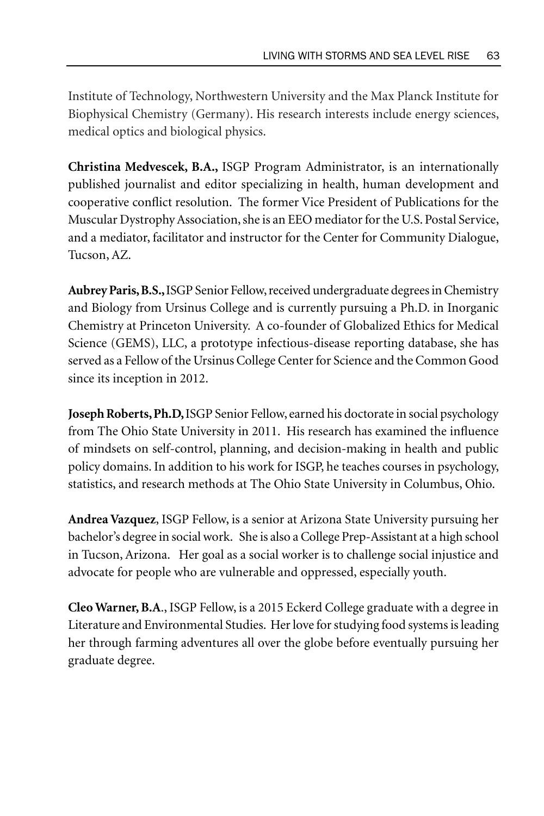Institute of Technology, Northwestern University and the Max Planck Institute for Biophysical Chemistry (Germany). His research interests include energy sciences, medical optics and biological physics.

**Christina Medvescek, B.A.,** ISGP Program Administrator, is an internationally published journalist and editor specializing in health, human development and cooperative conflict resolution. The former Vice President of Publications for the Muscular Dystrophy Association, she is an EEO mediator for the U.S. Postal Service, and a mediator, facilitator and instructor for the Center for Community Dialogue, Tucson, AZ.

**Aubrey Paris, B.S.,** ISGP Senior Fellow, received undergraduate degrees in Chemistry and Biology from Ursinus College and is currently pursuing a Ph.D. in Inorganic Chemistry at Princeton University. A co-founder of Globalized Ethics for Medical Science (GEMS), LLC, a prototype infectious-disease reporting database, she has served as a Fellow of the Ursinus College Center for Science and the Common Good since its inception in 2012.

**Joseph Roberts, Ph.D,** ISGP Senior Fellow, earned his doctorate in social psychology from The Ohio State University in 2011. His research has examined the influence of mindsets on self-control, planning, and decision-making in health and public policy domains. In addition to his work for ISGP, he teaches courses in psychology, statistics, and research methods at The Ohio State University in Columbus, Ohio.

**Andrea Vazquez**, ISGP Fellow, is a senior at Arizona State University pursuing her bachelor's degree in social work. She is also a College Prep-Assistant at a high school in Tucson, Arizona. Her goal as a social worker is to challenge social injustice and advocate for people who are vulnerable and oppressed, especially youth.

**Cleo Warner, B.A**., ISGP Fellow, is a 2015 Eckerd College graduate with a degree in Literature and Environmental Studies. Her love for studying food systems is leading her through farming adventures all over the globe before eventually pursuing her graduate degree.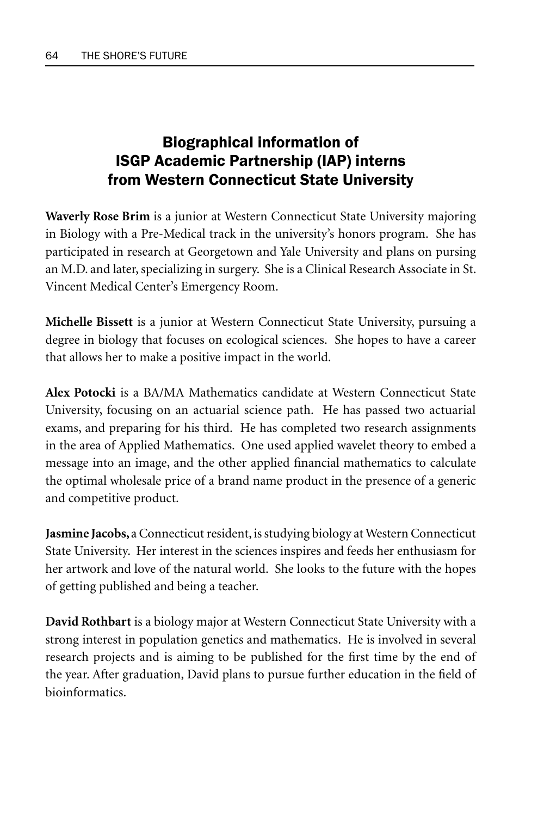# Biographical information of ISGP Academic Partnership (IAP) interns from Western Connecticut State University

**Waverly Rose Brim** is a junior at Western Connecticut State University majoring in Biology with a Pre-Medical track in the university's honors program. She has participated in research at Georgetown and Yale University and plans on pursing an M.D. and later, specializing in surgery. She is a Clinical Research Associate in St. Vincent Medical Center's Emergency Room.

**Michelle Bissett** is a junior at Western Connecticut State University, pursuing a degree in biology that focuses on ecological sciences. She hopes to have a career that allows her to make a positive impact in the world.

**Alex Potocki** is a BA/MA Mathematics candidate at Western Connecticut State University, focusing on an actuarial science path. He has passed two actuarial exams, and preparing for his third. He has completed two research assignments in the area of Applied Mathematics. One used applied wavelet theory to embed a message into an image, and the other applied financial mathematics to calculate the optimal wholesale price of a brand name product in the presence of a generic and competitive product.

**Jasmine Jacobs,** a Connecticut resident, is studying biology at Western Connecticut State University. Her interest in the sciences inspires and feeds her enthusiasm for her artwork and love of the natural world. She looks to the future with the hopes of getting published and being a teacher.

**David Rothbart** is a biology major at Western Connecticut State University with a strong interest in population genetics and mathematics. He is involved in several research projects and is aiming to be published for the first time by the end of the year. After graduation, David plans to pursue further education in the field of bioinformatics.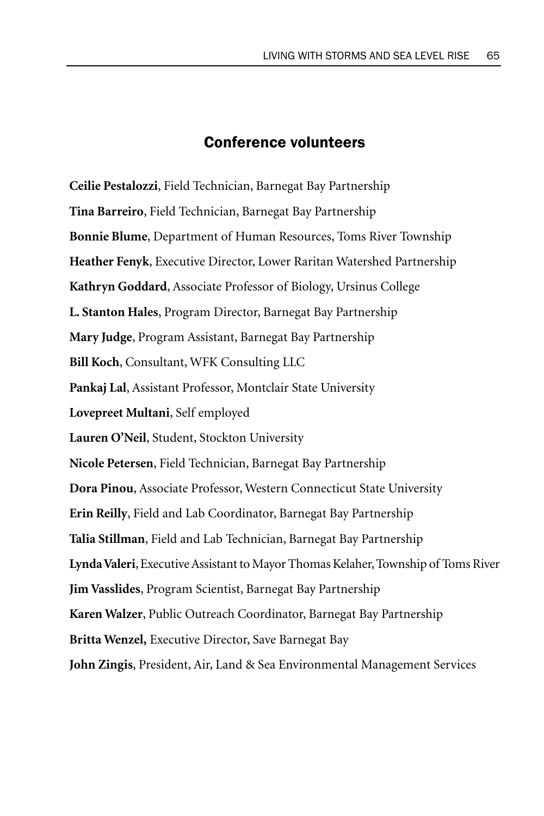## Conference volunteers

**Ceilie Pestalozzi**, Field Technician, Barnegat Bay Partnership **Tina Barreiro**, Field Technician, Barnegat Bay Partnership **Bonnie Blume**, Department of Human Resources, Toms River Township **Heather Fenyk**, Executive Director, Lower Raritan Watershed Partnership **Kathryn Goddard**, Associate Professor of Biology, Ursinus College **L. Stanton Hales**, Program Director, Barnegat Bay Partnership **Mary Judge**, Program Assistant, Barnegat Bay Partnership **Bill Koch**, Consultant, WFK Consulting LLC **Pankaj Lal**, Assistant Professor, Montclair State University **Lovepreet Multani**, Self employed **Lauren O'Neil**, Student, Stockton University **Nicole Petersen**, Field Technician, Barnegat Bay Partnership **Dora Pinou**, Associate Professor, Western Connecticut State University **Erin Reilly**, Field and Lab Coordinator, Barnegat Bay Partnership **Talia Stillman**, Field and Lab Technician, Barnegat Bay Partnership **Lynda Valeri**, Executive Assistant to Mayor Thomas Kelaher, Township of Toms River **Jim Vasslides**, Program Scientist, Barnegat Bay Partnership **Karen Walzer**, Public Outreach Coordinator, Barnegat Bay Partnership **Britta Wenzel,** Executive Director, Save Barnegat Bay **John Zingis**, President, Air, Land & Sea Environmental Management Services